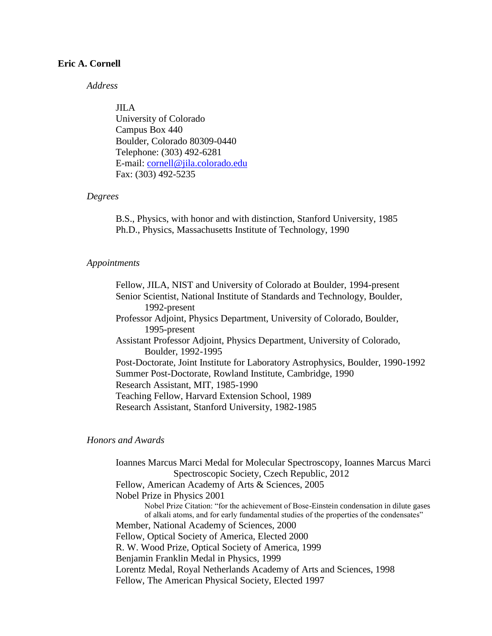### *Address*

#### JILA

University of Colorado Campus Box 440 Boulder, Colorado 80309-0440 Telephone: (303) 492-6281 E-mail: cornell@jila.colorado.edu Fax: (303) 492-5235

#### *Degrees*

B.S., Physics, with honor and with distinction, Stanford University, 1985 Ph.D., Physics, Massachusetts Institute of Technology, 1990

#### *Appointments*

Fellow, JILA, NIST and University of Colorado at Boulder, 1994-present Senior Scientist, National Institute of Standards and Technology, Boulder, 1992-present Professor Adjoint, Physics Department, University of Colorado, Boulder, 1995-present Assistant Professor Adjoint, Physics Department, University of Colorado, Boulder, 1992-1995 Post-Doctorate, Joint Institute for Laboratory Astrophysics, Boulder, 1990-1992 Summer Post-Doctorate, Rowland Institute, Cambridge, 1990 Research Assistant, MIT, 1985-1990 Teaching Fellow, Harvard Extension School, 1989 Research Assistant, Stanford University, 1982-1985

#### *Honors and Awards*

Ioannes Marcus Marci Medal for Molecular Spectroscopy, Ioannes Marcus Marci Spectroscopic Society, Czech Republic, 2012 Fellow, American Academy of Arts & Sciences, 2005 Nobel Prize in Physics 2001 Nobel Prize Citation: "for the achievement of Bose-Einstein condensation in dilute gases of alkali atoms, and for early fundamental studies of the properties of the condensates" Member, National Academy of Sciences, 2000 Fellow, Optical Society of America, Elected 2000 R. W. Wood Prize, Optical Society of America, 1999 Benjamin Franklin Medal in Physics, 1999 Lorentz Medal, Royal Netherlands Academy of Arts and Sciences, 1998 Fellow, The American Physical Society, Elected 1997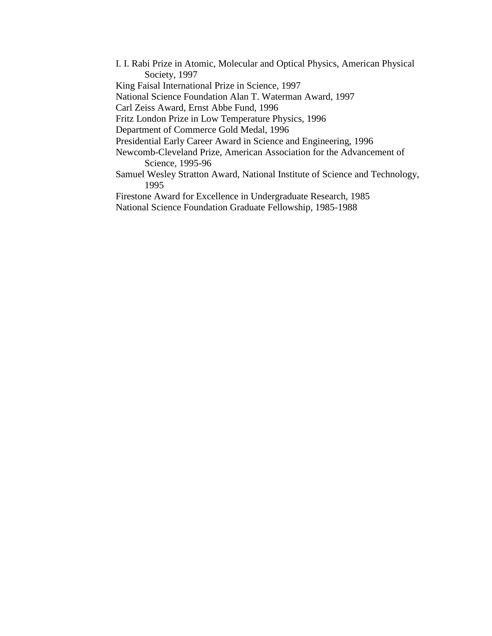I. I. Rabi Prize in Atomic, Molecular and Optical Physics, American Physical Society, 1997 King Faisal International Prize in Science, 1997 National Science Foundation Alan T. Waterman Award, 1997 Carl Zeiss Award, Ernst Abbe Fund, 1996 Fritz London Prize in Low Temperature Physics, 1996 Department of Commerce Gold Medal, 1996 Presidential Early Career Award in Science and Engineering, 1996 Newcomb-Cleveland Prize, American Association for the Advancement of Science, 1995-96 Samuel Wesley Stratton Award, National Institute of Science and Technology, 1995 Firestone Award for Excellence in Undergraduate Research, 1985 National Science Foundation Graduate Fellowship, 1985-1988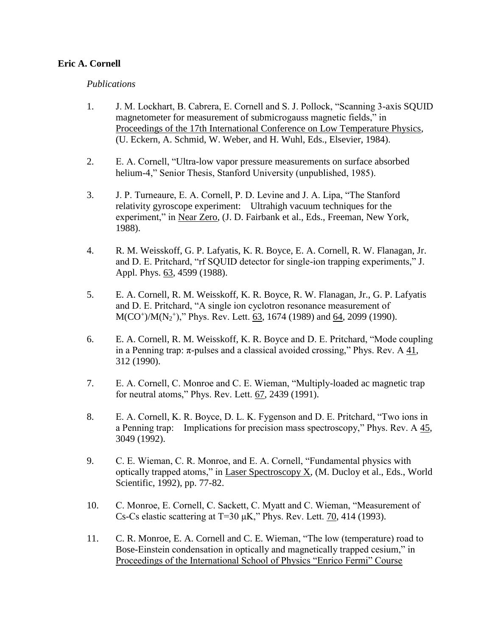### *Publications*

- 1. J. M. Lockhart, B. Cabrera, E. Cornell and S. J. Pollock, "Scanning 3-axis SQUID magnetometer for measurement of submicrogauss magnetic fields," in Proceedings of the 17th International Conference on Low Temperature Physics, (U. Eckern, A. Schmid, W. Weber, and H. Wuhl, Eds., Elsevier, 1984).
- 2. E. A. Cornell, "Ultra-low vapor pressure measurements on surface absorbed helium-4," Senior Thesis, Stanford University (unpublished, 1985).
- 3. J. P. Turneaure, E. A. Cornell, P. D. Levine and J. A. Lipa, "The Stanford relativity gyroscope experiment: Ultrahigh vacuum techniques for the experiment," in Near Zero, (J. D. Fairbank et al., Eds., Freeman, New York, 1988).
- 4. R. M. Weisskoff, G. P. Lafyatis, K. R. Boyce, E. A. Cornell, R. W. Flanagan, Jr. and D. E. Pritchard, "rf SQUID detector for single-ion trapping experiments," J. Appl. Phys. 63, 4599 (1988).
- 5. E. A. Cornell, R. M. Weisskoff, K. R. Boyce, R. W. Flanagan, Jr., G. P. Lafyatis and D. E. Pritchard, "A single ion cyclotron resonance measurement of M(CO<sup>+</sup>)/M(N<sub>2</sub><sup>+</sup>)," Phys. Rev. Lett. 63, 1674 (1989) and 64, 2099 (1990).
- 6. E. A. Cornell, R. M. Weisskoff, K. R. Boyce and D. E. Pritchard, "Mode coupling in a Penning trap:  $\pi$ -pulses and a classical avoided crossing," Phys. Rev. A 41, 312 (1990).
- 7. E. A. Cornell, C. Monroe and C. E. Wieman, "Multiply-loaded ac magnetic trap for neutral atoms," Phys. Rev. Lett. 67, 2439 (1991).
- 8. E. A. Cornell, K. R. Boyce, D. L. K. Fygenson and D. E. Pritchard, "Two ions in a Penning trap: Implications for precision mass spectroscopy," Phys. Rev. A 45, 3049 (1992).
- 9. C. E. Wieman, C. R. Monroe, and E. A. Cornell, "Fundamental physics with optically trapped atoms," in **Laser Spectroscopy X**, (M. Ducloy et al., Eds., World Scientific, 1992), pp. 77-82.
- 10. C. Monroe, E. Cornell, C. Sackett, C. Myatt and C. Wieman, "Measurement of Cs-Cs elastic scattering at T=30  $\mu$ K," Phys. Rev. Lett.  $70$ , 414 (1993).
- 11. C. R. Monroe, E. A. Cornell and C. E. Wieman, "The low (temperature) road to Bose-Einstein condensation in optically and magnetically trapped cesium," in Proceedings of the International School of Physics "Enrico Fermi" Course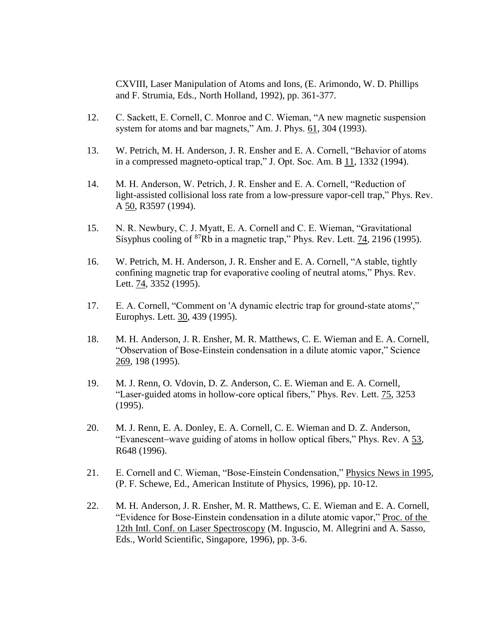CXVIII, Laser Manipulation of Atoms and Ions, (E. Arimondo, W. D. Phillips and F. Strumia, Eds., North Holland, 1992), pp. 361-377.

- 12. C. Sackett, E. Cornell, C. Monroe and C. Wieman, "A new magnetic suspension system for atoms and bar magnets," Am. J. Phys.  $61$ , 304 (1993).
- 13. W. Petrich, M. H. Anderson, J. R. Ensher and E. A. Cornell, "Behavior of atoms in a compressed magneto-optical trap," J. Opt. Soc. Am. B 11, 1332 (1994).
- 14. M. H. Anderson, W. Petrich, J. R. Ensher and E. A. Cornell, "Reduction of light-assisted collisional loss rate from a low-pressure vapor-cell trap," Phys. Rev. A 50, R3597 (1994).
- 15. N. R. Newbury, C. J. Myatt, E. A. Cornell and C. E. Wieman, "Gravitational Sisyphus cooling of <sup>87</sup>Rb in a magnetic trap," Phys. Rev. Lett. 74, 2196 (1995).
- 16. W. Petrich, M. H. Anderson, J. R. Ensher and E. A. Cornell, "A stable, tightly confining magnetic trap for evaporative cooling of neutral atoms," Phys. Rev. Lett. 74, 3352 (1995).
- 17. E. A. Cornell, "Comment on 'A dynamic electric trap for ground-state atoms'," Europhys. Lett. 30, 439 (1995).
- 18. M. H. Anderson, J. R. Ensher, M. R. Matthews, C. E. Wieman and E. A. Cornell, "Observation of Bose-Einstein condensation in a dilute atomic vapor," Science 269, 198 (1995).
- 19. M. J. Renn, O. Vdovin, D. Z. Anderson, C. E. Wieman and E. A. Cornell, "Laser-guided atoms in hollow-core optical fibers," Phys. Rev. Lett. 75, 3253 (1995).
- 20. M. J. Renn, E. A. Donley, E. A. Cornell, C. E. Wieman and D. Z. Anderson, "Evanescent-wave guiding of atoms in hollow optical fibers," Phys. Rev. A 53, R648 (1996).
- 21. E. Cornell and C. Wieman, "Bose-Einstein Condensation," Physics News in 1995, (P. F. Schewe, Ed., American Institute of Physics, 1996), pp. 10-12.
- 22. M. H. Anderson, J. R. Ensher, M. R. Matthews, C. E. Wieman and E. A. Cornell, "Evidence for Bose-Einstein condensation in a dilute atomic vapor," Proc. of the 12th Intl. Conf. on Laser Spectroscopy (M. Inguscio, M. Allegrini and A. Sasso, Eds., World Scientific, Singapore, 1996), pp. 3-6.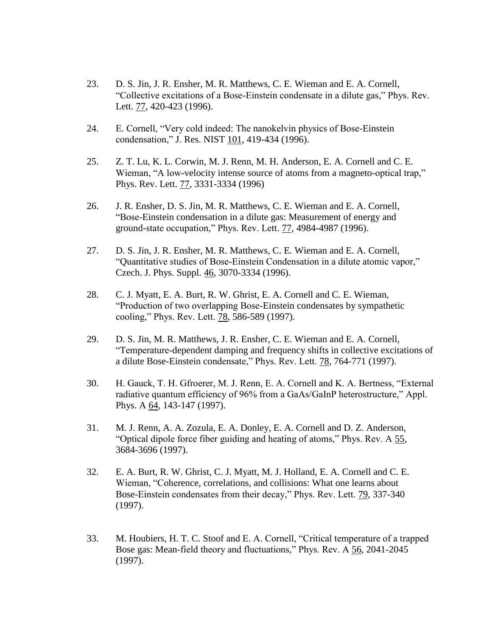- 23. D. S. Jin, J. R. Ensher, M. R. Matthews, C. E. Wieman and E. A. Cornell, "Collective excitations of a Bose-Einstein condensate in a dilute gas," Phys. Rev. Lett. 77, 420-423 (1996).
- 24. E. Cornell, "Very cold indeed: The nanokelvin physics of Bose-Einstein condensation," J. Res. NIST 101, 419-434 (1996).
- 25. Z. T. Lu, K. L. Corwin, M. J. Renn, M. H. Anderson, E. A. Cornell and C. E. Wieman, "A low-velocity intense source of atoms from a magneto-optical trap," Phys. Rev. Lett. 77, 3331-3334 (1996)
- 26. J. R. Ensher, D. S. Jin, M. R. Matthews, C. E. Wieman and E. A. Cornell, "Bose-Einstein condensation in a dilute gas: Measurement of energy and ground-state occupation," Phys. Rev. Lett. 77, 4984-4987 (1996).
- 27. D. S. Jin, J. R. Ensher, M. R. Matthews, C. E. Wieman and E. A. Cornell, "Quantitative studies of Bose-Einstein Condensation in a dilute atomic vapor," Czech. J. Phys. Suppl. 46, 3070-3334 (1996).
- 28. C. J. Myatt, E. A. Burt, R. W. Ghrist, E. A. Cornell and C. E. Wieman, "Production of two overlapping Bose-Einstein condensates by sympathetic cooling," Phys. Rev. Lett. 78, 586-589 (1997).
- 29. D. S. Jin, M. R. Matthews, J. R. Ensher, C. E. Wieman and E. A. Cornell, "Temperature-dependent damping and frequency shifts in collective excitations of a dilute Bose-Einstein condensate," Phys. Rev. Lett. 78, 764-771 (1997).
- 30. H. Gauck, T. H. Gfroerer, M. J. Renn, E. A. Cornell and K. A. Bertness, "External radiative quantum efficiency of 96% from a GaAs/GaInP heterostructure," Appl. Phys. A  $\underline{64}$ , 143-147 (1997).
- 31. M. J. Renn, A. A. Zozula, E. A. Donley, E. A. Cornell and D. Z. Anderson, "Optical dipole force fiber guiding and heating of atoms," Phys. Rev. A 55, 3684-3696 (1997).
- 32. E. A. Burt, R. W. Ghrist, C. J. Myatt, M. J. Holland, E. A. Cornell and C. E. Wieman, "Coherence, correlations, and collisions: What one learns about Bose-Einstein condensates from their decay," Phys. Rev. Lett. 79, 337-340 (1997).
- 33. M. Houbiers, H. T. C. Stoof and E. A. Cornell, "Critical temperature of a trapped Bose gas: Mean-field theory and fluctuations," Phys. Rev. A 56, 2041-2045 (1997).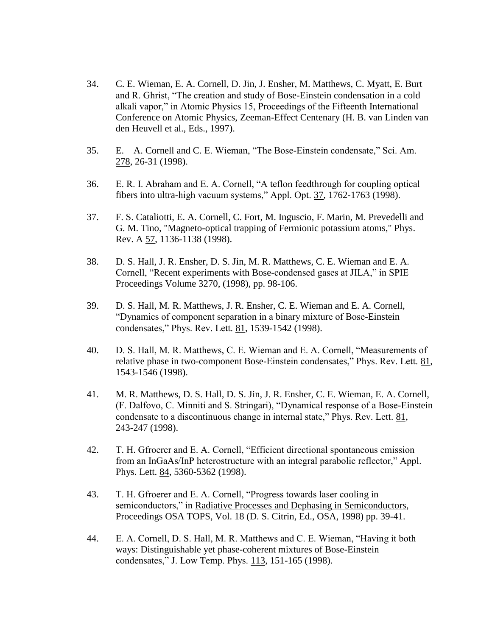- 34. C. E. Wieman, E. A. Cornell, D. Jin, J. Ensher, M. Matthews, C. Myatt, E. Burt and R. Ghrist, "The creation and study of Bose-Einstein condensation in a cold alkali vapor," in Atomic Physics 15, Proceedings of the Fifteenth International Conference on Atomic Physics, Zeeman-Effect Centenary (H. B. van Linden van den Heuvell et al., Eds., 1997).
- 35. E. A. Cornell and C. E. Wieman, "The Bose-Einstein condensate," Sci. Am. 278, 26-31 (1998).
- 36. E. R. I. Abraham and E. A. Cornell, "A teflon feedthrough for coupling optical fibers into ultra-high vacuum systems," Appl. Opt. 37, 1762-1763 (1998).
- 37. F. S. Cataliotti, E. A. Cornell, C. Fort, M. Inguscio, F. Marin, M. Prevedelli and G. M. Tino, "Magneto-optical trapping of Fermionic potassium atoms," Phys. Rev. A 57, 1136-1138 (1998).
- 38. D. S. Hall, J. R. Ensher, D. S. Jin, M. R. Matthews, C. E. Wieman and E. A. Cornell, "Recent experiments with Bose-condensed gases at JILA," in SPIE Proceedings Volume 3270, (1998), pp. 98-106.
- 39. D. S. Hall, M. R. Matthews, J. R. Ensher, C. E. Wieman and E. A. Cornell, "Dynamics of component separation in a binary mixture of Bose-Einstein condensates," Phys. Rev. Lett. 81, 1539-1542 (1998).
- 40. D. S. Hall, M. R. Matthews, C. E. Wieman and E. A. Cornell, "Measurements of relative phase in two-component Bose-Einstein condensates," Phys. Rev. Lett. 81, 1543-1546 (1998).
- 41. M. R. Matthews, D. S. Hall, D. S. Jin, J. R. Ensher, C. E. Wieman, E. A. Cornell, (F. Dalfovo, C. Minniti and S. Stringari), "Dynamical response of a Bose-Einstein condensate to a discontinuous change in internal state," Phys. Rev. Lett. 81, 243-247 (1998).
- 42. T. H. Gfroerer and E. A. Cornell, "Efficient directional spontaneous emission from an InGaAs/InP heterostructure with an integral parabolic reflector," Appl. Phys. Lett. 84, 5360-5362 (1998).
- 43. T. H. Gfroerer and E. A. Cornell, "Progress towards laser cooling in semiconductors," in Radiative Processes and Dephasing in Semiconductors, Proceedings OSA TOPS, Vol. 18 (D. S. Citrin, Ed., OSA, 1998) pp. 39-41.
- 44. E. A. Cornell, D. S. Hall, M. R. Matthews and C. E. Wieman, "Having it both ways: Distinguishable yet phase-coherent mixtures of Bose-Einstein condensates," J. Low Temp. Phys. 113, 151-165 (1998).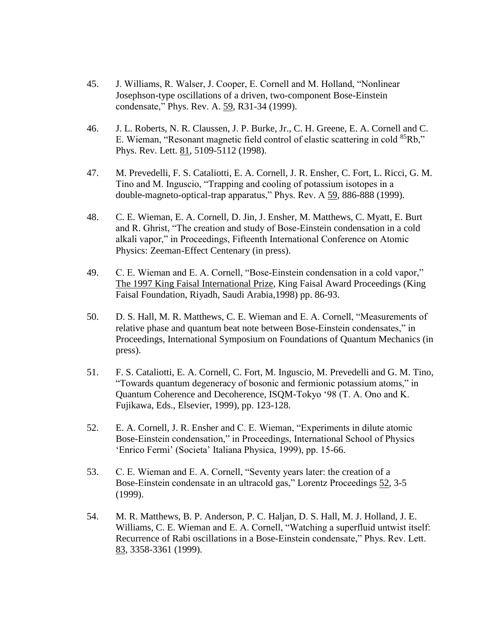- 45. J. Williams, R. Walser, J. Cooper, E. Cornell and M. Holland, "Nonlinear Josephson-type oscillations of a driven, two-component Bose-Einstein condensate," Phys. Rev. A. 59, R31-34 (1999).
- 46. J. L. Roberts, N. R. Claussen, J. P. Burke, Jr., C. H. Greene, E. A. Cornell and C. E. Wieman, "Resonant magnetic field control of elastic scattering in cold  ${}^{85}Rb$ ," Phys. Rev. Lett. 81, 5109-5112 (1998).
- 47. M. Prevedelli, F. S. Cataliotti, E. A. Cornell, J. R. Ensher, C. Fort, L. Ricci, G. M. Tino and M. Inguscio, "Trapping and cooling of potassium isotopes in a double-magneto-optical-trap apparatus," Phys. Rev. A 59, 886-888 (1999).
- 48. C. E. Wieman, E. A. Cornell, D. Jin, J. Ensher, M. Matthews, C. Myatt, E. Burt and R. Ghrist, "The creation and study of Bose-Einstein condensation in a cold alkali vapor," in Proceedings, Fifteenth International Conference on Atomic Physics: Zeeman-Effect Centenary (in press).
- 49. C. E. Wieman and E. A. Cornell, "Bose-Einstein condensation in a cold vapor," The 1997 King Faisal International Prize, King Faisal Award Proceedings (King Faisal Foundation, Riyadh, Saudi Arabia,1998) pp. 86-93.
- 50. D. S. Hall, M. R. Matthews, C. E. Wieman and E. A. Cornell, "Measurements of relative phase and quantum beat note between Bose-Einstein condensates," in Proceedings, International Symposium on Foundations of Quantum Mechanics (in press).
- 51. F. S. Cataliotti, E. A. Cornell, C. Fort, M. Inguscio, M. Prevedelli and G. M. Tino, "Towards quantum degeneracy of bosonic and fermionic potassium atoms," in Quantum Coherence and Decoherence, ISQM-Tokyo '98 (T. A. Ono and K. Fujikawa, Eds., Elsevier, 1999), pp. 123-128.
- 52. E. A. Cornell, J. R. Ensher and C. E. Wieman, "Experiments in dilute atomic Bose-Einstein condensation," in Proceedings, International School of Physics 'Enrico Fermi' (Societa' Italiana Physica, 1999), pp. 15-66.
- 53. C. E. Wieman and E. A. Cornell, "Seventy years later: the creation of a Bose-Einstein condensate in an ultracold gas," Lorentz Proceedings 52, 3-5 (1999).
- 54. M. R. Matthews, B. P. Anderson, P. C. Haljan, D. S. Hall, M. J. Holland, J. E. Williams, C. E. Wieman and E. A. Cornell, "Watching a superfluid untwist itself: Recurrence of Rabi oscillations in a Bose-Einstein condensate," Phys. Rev. Lett. 83, 3358-3361 (1999).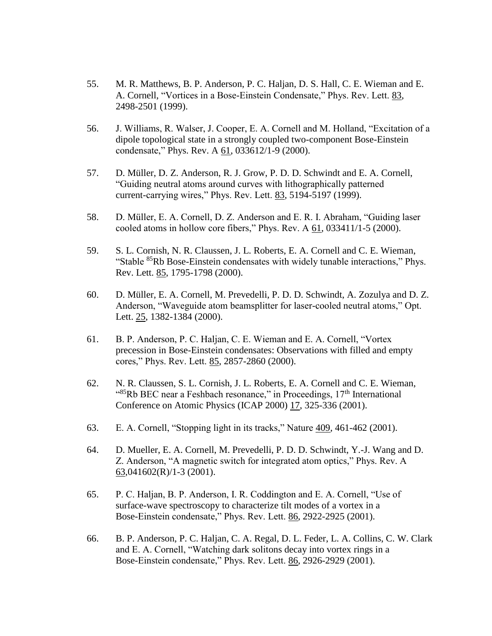- 55. M. R. Matthews, B. P. Anderson, P. C. Haljan, D. S. Hall, C. E. Wieman and E. A. Cornell, "Vortices in a Bose-Einstein Condensate," Phys. Rev. Lett. 83, 2498-2501 (1999).
- 56. J. Williams, R. Walser, J. Cooper, E. A. Cornell and M. Holland, "Excitation of a dipole topological state in a strongly coupled two-component Bose-Einstein condensate," Phys. Rev. A 61, 033612/1-9 (2000).
- 57. D. Müller, D. Z. Anderson, R. J. Grow, P. D. D. Schwindt and E. A. Cornell, "Guiding neutral atoms around curves with lithographically patterned current-carrying wires," Phys. Rev. Lett. 83, 5194-5197 (1999).
- 58. D. Müller, E. A. Cornell, D. Z. Anderson and E. R. I. Abraham, "Guiding laser cooled atoms in hollow core fibers," Phys. Rev. A 61, 033411/1-5 (2000).
- 59. S. L. Cornish, N. R. Claussen, J. L. Roberts, E. A. Cornell and C. E. Wieman, "Stable <sup>85</sup>Rb Bose-Einstein condensates with widely tunable interactions," Phys. Rev. Lett. 85, 1795-1798 (2000).
- 60. D. Müller, E. A. Cornell, M. Prevedelli, P. D. D. Schwindt, A. Zozulya and D. Z. Anderson, "Waveguide atom beamsplitter for laser-cooled neutral atoms," Opt. Lett. 25, 1382-1384 (2000).
- 61. B. P. Anderson, P. C. Haljan, C. E. Wieman and E. A. Cornell, "Vortex precession in Bose-Einstein condensates: Observations with filled and empty cores," Phys. Rev. Lett. 85, 2857-2860 (2000).
- 62. N. R. Claussen, S. L. Cornish, J. L. Roberts, E. A. Cornell and C. E. Wieman,  $^{485}$ Rb BEC near a Feshbach resonance," in Proceedings,  $17<sup>th</sup>$  International Conference on Atomic Physics (ICAP 2000) 17, 325-336 (2001).
- 63. E. A. Cornell, "Stopping light in its tracks," Nature 409, 461-462 (2001).
- 64. D. Mueller, E. A. Cornell, M. Prevedelli, P. D. D. Schwindt, Y.-J. Wang and D. Z. Anderson, "A magnetic switch for integrated atom optics," Phys. Rev. A 63,041602(R)/1-3 (2001).
- 65. P. C. Haljan, B. P. Anderson, I. R. Coddington and E. A. Cornell, "Use of surface-wave spectroscopy to characterize tilt modes of a vortex in a Bose-Einstein condensate," Phys. Rev. Lett. 86, 2922-2925 (2001).
- 66. B. P. Anderson, P. C. Haljan, C. A. Regal, D. L. Feder, L. A. Collins, C. W. Clark and E. A. Cornell, "Watching dark solitons decay into vortex rings in a Bose-Einstein condensate," Phys. Rev. Lett. 86, 2926-2929 (2001).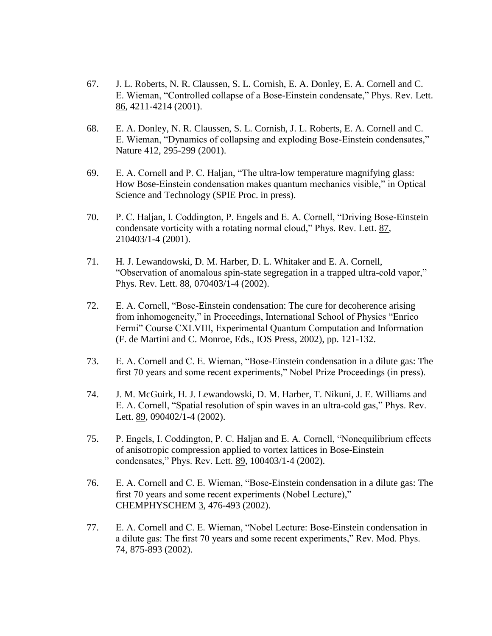- 67. J. L. Roberts, N. R. Claussen, S. L. Cornish, E. A. Donley, E. A. Cornell and C. E. Wieman, "Controlled collapse of a Bose-Einstein condensate," Phys. Rev. Lett. 86, 4211-4214 (2001).
- 68. E. A. Donley, N. R. Claussen, S. L. Cornish, J. L. Roberts, E. A. Cornell and C. E. Wieman, "Dynamics of collapsing and exploding Bose-Einstein condensates," Nature 412, 295-299 (2001).
- 69. E. A. Cornell and P. C. Haljan, "The ultra-low temperature magnifying glass: How Bose-Einstein condensation makes quantum mechanics visible," in Optical Science and Technology (SPIE Proc. in press).
- 70. P. C. Haljan, I. Coddington, P. Engels and E. A. Cornell, "Driving Bose-Einstein condensate vorticity with a rotating normal cloud," Phys. Rev. Lett. 87, 210403/1-4 (2001).
- 71. H. J. Lewandowski, D. M. Harber, D. L. Whitaker and E. A. Cornell, "Observation of anomalous spin-state segregation in a trapped ultra-cold vapor," Phys. Rev. Lett. 88, 070403/1-4 (2002).
- 72. E. A. Cornell, "Bose-Einstein condensation: The cure for decoherence arising from inhomogeneity," in Proceedings, International School of Physics "Enrico Fermi" Course CXLVIII, Experimental Quantum Computation and Information (F. de Martini and C. Monroe, Eds., IOS Press, 2002), pp. 121-132.
- 73. E. A. Cornell and C. E. Wieman, "Bose-Einstein condensation in a dilute gas: The first 70 years and some recent experiments," Nobel Prize Proceedings (in press).
- 74. J. M. McGuirk, H. J. Lewandowski, D. M. Harber, T. Nikuni, J. E. Williams and E. A. Cornell, "Spatial resolution of spin waves in an ultra-cold gas," Phys. Rev. Lett. 89, 090402/1-4 (2002).
- 75. P. Engels, I. Coddington, P. C. Haljan and E. A. Cornell, "Nonequilibrium effects of anisotropic compression applied to vortex lattices in Bose-Einstein condensates," Phys. Rev. Lett. 89, 100403/1-4 (2002).
- 76. E. A. Cornell and C. E. Wieman, "Bose-Einstein condensation in a dilute gas: The first 70 years and some recent experiments (Nobel Lecture)," CHEMPHYSCHEM 3, 476-493 (2002).
- 77. E. A. Cornell and C. E. Wieman, "Nobel Lecture: Bose-Einstein condensation in a dilute gas: The first 70 years and some recent experiments," Rev. Mod. Phys. 74, 875-893 (2002).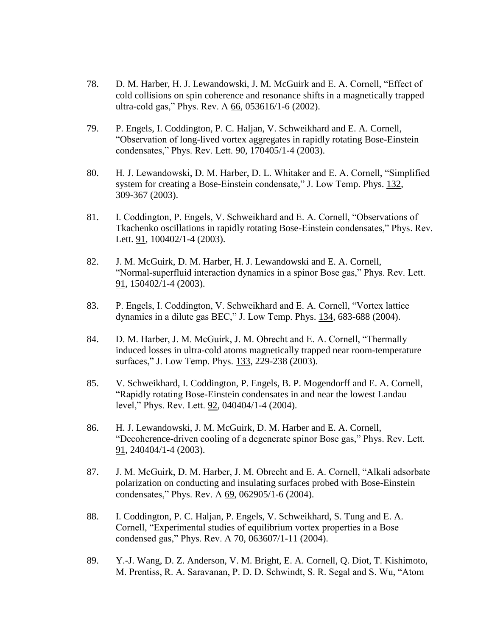- 78. D. M. Harber, H. J. Lewandowski, J. M. McGuirk and E. A. Cornell, "Effect of cold collisions on spin coherence and resonance shifts in a magnetically trapped ultra-cold gas," Phys. Rev. A 66, 053616/1-6 (2002).
- 79. P. Engels, I. Coddington, P. C. Haljan, V. Schweikhard and E. A. Cornell, "Observation of long-lived vortex aggregates in rapidly rotating Bose-Einstein condensates," Phys. Rev. Lett. 90, 170405/1-4 (2003).
- 80. H. J. Lewandowski, D. M. Harber, D. L. Whitaker and E. A. Cornell, "Simplified system for creating a Bose-Einstein condensate," J. Low Temp. Phys. 132, 309-367 (2003).
- 81. I. Coddington, P. Engels, V. Schweikhard and E. A. Cornell, "Observations of Tkachenko oscillations in rapidly rotating Bose-Einstein condensates," Phys. Rev. Lett. 91, 100402/1-4 (2003).
- 82. J. M. McGuirk, D. M. Harber, H. J. Lewandowski and E. A. Cornell, "Normal-superfluid interaction dynamics in a spinor Bose gas," Phys. Rev. Lett. 91, 150402/1-4 (2003).
- 83. P. Engels, I. Coddington, V. Schweikhard and E. A. Cornell, "Vortex lattice dynamics in a dilute gas BEC," J. Low Temp. Phys. 134, 683-688 (2004).
- 84. D. M. Harber, J. M. McGuirk, J. M. Obrecht and E. A. Cornell, "Thermally induced losses in ultra-cold atoms magnetically trapped near room-temperature surfaces," J. Low Temp. Phys. 133, 229-238 (2003).
- 85. V. Schweikhard, I. Coddington, P. Engels, B. P. Mogendorff and E. A. Cornell, "Rapidly rotating Bose-Einstein condensates in and near the lowest Landau level," Phys. Rev. Lett. 92, 040404/1-4 (2004).
- 86. H. J. Lewandowski, J. M. McGuirk, D. M. Harber and E. A. Cornell, "Decoherence-driven cooling of a degenerate spinor Bose gas," Phys. Rev. Lett. 91, 240404/1-4 (2003).
- 87. J. M. McGuirk, D. M. Harber, J. M. Obrecht and E. A. Cornell, "Alkali adsorbate polarization on conducting and insulating surfaces probed with Bose-Einstein condensates," Phys. Rev. A 69, 062905/1-6 (2004).
- 88. I. Coddington, P. C. Haljan, P. Engels, V. Schweikhard, S. Tung and E. A. Cornell, "Experimental studies of equilibrium vortex properties in a Bose condensed gas," Phys. Rev. A  $70$ , 063607/1-11 (2004).
- 89. Y.-J. Wang, D. Z. Anderson, V. M. Bright, E. A. Cornell, Q. Diot, T. Kishimoto, M. Prentiss, R. A. Saravanan, P. D. D. Schwindt, S. R. Segal and S. Wu, "Atom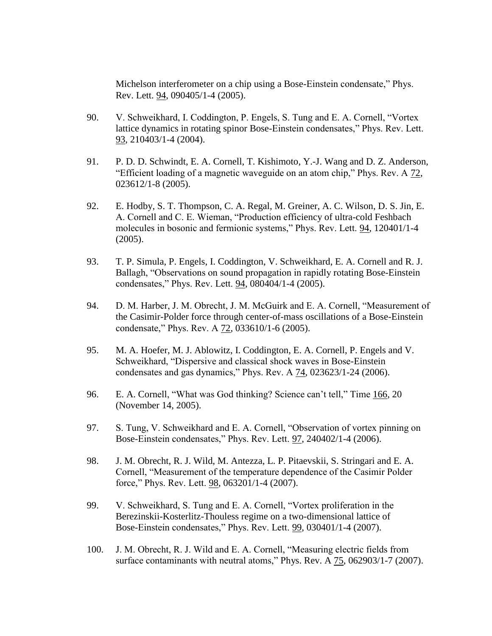Michelson interferometer on a chip using a Bose-Einstein condensate," Phys. Rev. Lett. 94, 090405/1-4 (2005).

- 90. V. Schweikhard, I. Coddington, P. Engels, S. Tung and E. A. Cornell, "Vortex lattice dynamics in rotating spinor Bose-Einstein condensates," Phys. Rev. Lett. 93, 210403/1-4 (2004).
- 91. P. D. D. Schwindt, E. A. Cornell, T. Kishimoto, Y.-J. Wang and D. Z. Anderson, "Efficient loading of a magnetic waveguide on an atom chip," Phys. Rev. A 72, 023612/1-8 (2005).
- 92. E. Hodby, S. T. Thompson, C. A. Regal, M. Greiner, A. C. Wilson, D. S. Jin, E. A. Cornell and C. E. Wieman, "Production efficiency of ultra-cold Feshbach molecules in bosonic and fermionic systems," Phys. Rev. Lett. 94, 120401/1-4 (2005).
- 93. T. P. Simula, P. Engels, I. Coddington, V. Schweikhard, E. A. Cornell and R. J. Ballagh, "Observations on sound propagation in rapidly rotating Bose-Einstein condensates," Phys. Rev. Lett. 94, 080404/1-4 (2005).
- 94. D. M. Harber, J. M. Obrecht, J. M. McGuirk and E. A. Cornell, "Measurement of the Casimir-Polder force through center-of-mass oscillations of a Bose-Einstein condensate," Phys. Rev. A 72, 033610/1-6 (2005).
- 95. M. A. Hoefer, M. J. Ablowitz, I. Coddington, E. A. Cornell, P. Engels and V. Schweikhard, "Dispersive and classical shock waves in Bose-Einstein condensates and gas dynamics," Phys. Rev. A 74, 023623/1-24 (2006).
- 96. E. A. Cornell, "What was God thinking? Science can't tell," Time 166, 20 (November 14, 2005).
- 97. S. Tung, V. Schweikhard and E. A. Cornell, "Observation of vortex pinning on Bose-Einstein condensates," Phys. Rev. Lett. 97, 240402/1-4 (2006).
- 98. J. M. Obrecht, R. J. Wild, M. Antezza, L. P. Pitaevskii, S. Stringari and E. A. Cornell, "Measurement of the temperature dependence of the Casimir Polder force," Phys. Rev. Lett. 98, 063201/1-4 (2007).
- 99. V. Schweikhard, S. Tung and E. A. Cornell, "Vortex proliferation in the Berezinskii-Kosterlitz-Thouless regime on a two-dimensional lattice of Bose-Einstein condensates," Phys. Rev. Lett. 99, 030401/1-4 (2007).
- 100. J. M. Obrecht, R. J. Wild and E. A. Cornell, "Measuring electric fields from surface contaminants with neutral atoms," Phys. Rev. A 75, 062903/1-7 (2007).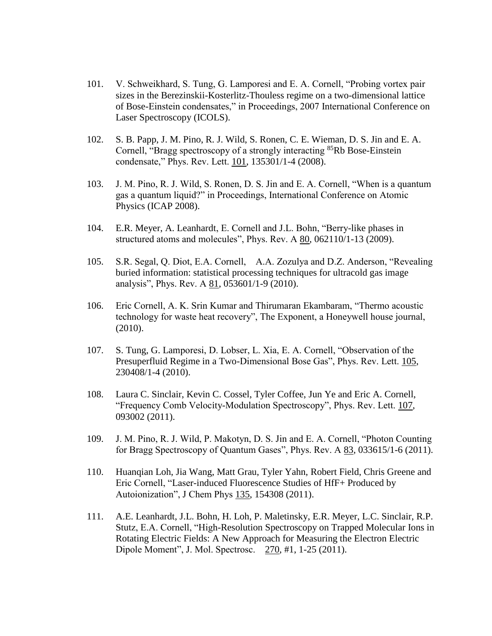- 101. V. Schweikhard, S. Tung, G. Lamporesi and E. A. Cornell, "Probing vortex pair sizes in the Berezinskii-Kosterlitz-Thouless regime on a two-dimensional lattice of Bose-Einstein condensates," in Proceedings, 2007 International Conference on Laser Spectroscopy (ICOLS).
- 102. S. B. Papp, J. M. Pino, R. J. Wild, S. Ronen, C. E. Wieman, D. S. Jin and E. A. Cornell, "Bragg spectroscopy of a strongly interacting <sup>85</sup>Rb Bose-Einstein condensate," Phys. Rev. Lett. 101, 135301/1-4 (2008).
- 103. J. M. Pino, R. J. Wild, S. Ronen, D. S. Jin and E. A. Cornell, "When is a quantum gas a quantum liquid?" in Proceedings, International Conference on Atomic Physics (ICAP 2008).
- 104. E.R. Meyer, A. Leanhardt, E. Cornell and J.L. Bohn, "Berry-like phases in structured atoms and molecules", Phys. Rev. A 80, 062110/1-13 (2009).
- 105. S.R. Segal, Q. Diot, E.A. Cornell, A.A. Zozulya and D.Z. Anderson, "Revealing buried information: statistical processing techniques for ultracold gas image analysis", Phys. Rev. A 81, 053601/1-9 (2010).
- 106. Eric Cornell, A. K. Srin Kumar and Thirumaran Ekambaram, "Thermo acoustic technology for waste heat recovery", The Exponent, a Honeywell house journal, (2010).
- 107. S. Tung, G. Lamporesi, D. Lobser, L. Xia, E. A. Cornell, "Observation of the Presuperfluid Regime in a Two-Dimensional Bose Gas", Phys. Rev. Lett. 105, 230408/1-4 (2010).
- 108. Laura C. Sinclair, Kevin C. Cossel, Tyler Coffee, Jun Ye and Eric A. Cornell, "Frequency Comb Velocity-Modulation Spectroscopy", Phys. Rev. Lett. 107, 093002 (2011).
- 109. J. M. Pino, R. J. Wild, P. Makotyn, D. S. Jin and E. A. Cornell, "Photon Counting for Bragg Spectroscopy of Quantum Gases", Phys. Rev. A 83, 033615/1-6 (2011).
- 110. Huanqian Loh, Jia Wang, Matt Grau, Tyler Yahn, Robert Field, Chris Greene and Eric Cornell, "Laser-induced Fluorescence Studies of HfF+ Produced by Autoionization", J Chem Phys 135, 154308 (2011).
- 111. A.E. Leanhardt, J.L. Bohn, H. Loh, P. Maletinsky, E.R. Meyer, L.C. Sinclair, R.P. Stutz, E.A. Cornell, "High-Resolution Spectroscopy on Trapped Molecular Ions in Rotating Electric Fields: A New Approach for Measuring the Electron Electric Dipole Moment", J. Mol. Spectrosc. 270, #1, 1-25 (2011).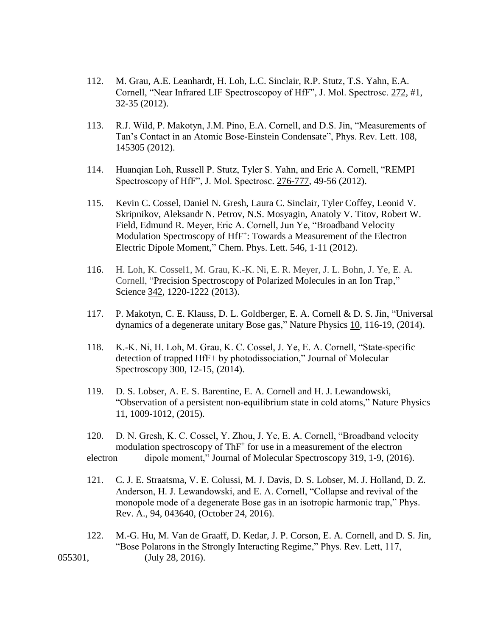- 112. M. Grau, A.E. Leanhardt, H. Loh, L.C. Sinclair, R.P. Stutz, T.S. Yahn, E.A. Cornell, "Near Infrared LIF Spectroscopoy of HfF", J. Mol. Spectrosc. 272, #1, 32-35 (2012).
- 113. R.J. Wild, P. Makotyn, J.M. Pino, E.A. Cornell, and D.S. Jin, "Measurements of Tan's Contact in an Atomic Bose-Einstein Condensate", Phys. Rev. Lett. 108, 145305 (2012).
- 114. Huanqian Loh, Russell P. Stutz, Tyler S. Yahn, and Eric A. Cornell, "REMPI Spectroscopy of HfF", J. Mol. Spectrosc. 276-777, 49-56 (2012).
- 115. Kevin C. Cossel, Daniel N. Gresh, Laura C. Sinclair, Tyler Coffey, Leonid V. Skripnikov, Aleksandr N. Petrov, N.S. Mosyagin, Anatoly V. Titov, Robert W. Field, Edmund R. Meyer, Eric A. Cornell, Jun Ye, "Broadband Velocity Modulation Spectroscopy of HfF<sup>+</sup>: Towards a Measurement of the Electron Electric Dipole Moment," Chem. Phys. Lett. 546, 1-11 (2012).
- 116. H. Loh, K. Cossel1, M. Grau, K.-K. Ni, E. R. Meyer, J. L. Bohn, J. Ye, E. A. Cornell, "Precision Spectroscopy of Polarized Molecules in an Ion Trap," Science 342, 1220-1222 (2013).
- 117. P. Makotyn, C. E. Klauss, D. L. Goldberger, E. A. Cornell & D. S. Jin, "Universal dynamics of a degenerate unitary Bose gas," Nature Physics 10, 116-19, (2014).
- 118. K.-K. Ni, H. Loh, M. Grau, K. C. Cossel, J. Ye, E. A. Cornell, "State-specific detection of trapped HfF+ by photodissociation," Journal of Molecular Spectroscopy 300, 12-15, (2014).
- 119. D. S. Lobser, A. E. S. Barentine, E. A. Cornell and H. J. Lewandowski, "Observation of a persistent non-equilibrium state in cold atoms," Nature Physics 11, 1009-1012, (2015).
- 120. D. N. Gresh, K. C. Cossel, Y. Zhou, J. Ye, E. A. Cornell, "Broadband velocity modulation spectroscopy of ThF<sup>+</sup> for use in a measurement of the electron electron dipole moment," Journal of Molecular Spectroscopy 319, 1-9, (2016).
- 121. C. J. E. Straatsma, V. E. Colussi, M. J. Davis, D. S. Lobser, M. J. Holland, D. Z. Anderson, H. J. Lewandowski, and E. A. Cornell, "Collapse and revival of the monopole mode of a degenerate Bose gas in an isotropic harmonic trap," Phys. Rev. A., 94, 043640, (October 24, 2016).
- 122. M.-G. Hu, M. Van de Graaff, D. Kedar, J. P. Corson, E. A. Cornell, and D. S. Jin, "Bose Polarons in the Strongly Interacting Regime," Phys. Rev. Lett, 117, 055301, (July 28, 2016).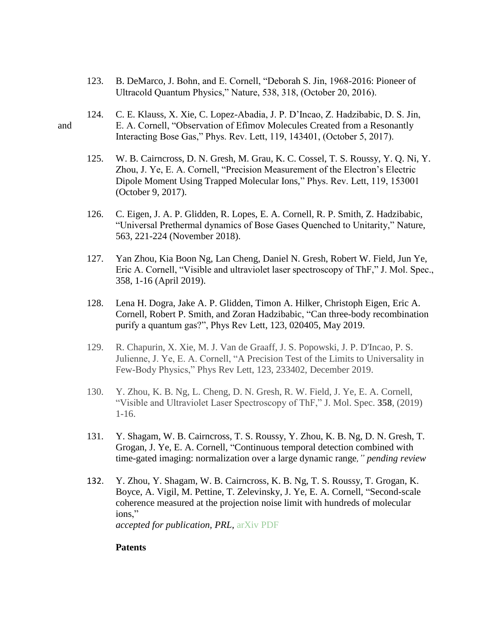- 123. B. DeMarco, J. Bohn, and E. Cornell, "Deborah S. Jin, 1968-2016: Pioneer of Ultracold Quantum Physics," Nature, 538, 318, (October 20, 2016).
- 124. C. E. Klauss, X. Xie, C. Lopez-Abadia, J. P. D'Incao, Z. Hadzibabic, D. S. Jin, and E. A. Cornell, "Observation of Efimov Molecules Created from a Resonantly Interacting Bose Gas," Phys. Rev. Lett, 119, 143401, (October 5, 2017).
	- 125. W. B. Cairncross, D. N. Gresh, M. Grau, K. C. Cossel, T. S. Roussy, Y. Q. Ni, Y. Zhou, J. Ye, E. A. Cornell, "Precision Measurement of the Electron's Electric Dipole Moment Using Trapped Molecular Ions," Phys. Rev. Lett, 119, 153001 (October 9, 2017).
	- 126. C. Eigen, J. A. P. Glidden, R. Lopes, E. A. Cornell, R. P. Smith, Z. Hadzibabic, "Universal Prethermal dynamics of Bose Gases Quenched to Unitarity," Nature, 563, 221-224 (November 2018).
	- 127. Yan Zhou, Kia Boon Ng, Lan Cheng, Daniel N. Gresh, Robert W. Field, Jun Ye, Eric A. Cornell, "Visible and ultraviolet laser spectroscopy of ThF," J. Mol. Spec., 358, 1-16 (April 2019).
	- 128. Lena H. Dogra, Jake A. P. Glidden, Timon A. Hilker, Christoph Eigen, Eric A. Cornell, Robert P. Smith, and Zoran Hadzibabic, "Can three-body recombination purify a quantum gas?", Phys Rev Lett, 123, 020405, May 2019.
	- 129. R. Chapurin, X. Xie, M. J. Van de Graaff, J. S. Popowski, J. P. D'Incao, P. S. Julienne, J. Ye, E. A. Cornell, "A Precision Test of the Limits to Universality in Few-Body Physics," Phys Rev Lett, 123, 233402, December 2019.
	- 130. Y. Zhou, K. B. Ng, L. Cheng, D. N. Gresh, R. W. Field, J. Ye, E. A. Cornell, "Visible and Ultraviolet Laser Spectroscopy of ThF," J. Mol. Spec. **358**, (2019) 1-16.
	- 131. Y. Shagam, W. B. Cairncross, T. S. Roussy, Y. Zhou, K. B. Ng, D. N. Gresh, T. Grogan, J. Ye, E. A. Cornell, "Continuous temporal detection combined with time-gated imaging: normalization over a large dynamic range*," pending review*
	- 132. Y. Zhou, Y. Shagam, W. B. Cairncross, K. B. Ng, T. S. Roussy, T. Grogan, K. Boyce, A. Vigil, M. Pettine, T. Zelevinsky, J. Ye, E. A. Cornell, "Second-scale coherence measured at the projection noise limit with hundreds of molecular ions,"

*accepted for publication, PRL,* [arXiv](https://arxiv.org/abs/1907.03413) [PDF](https://arxiv.org/pdf/1907.03413.pdf)

### **Patents**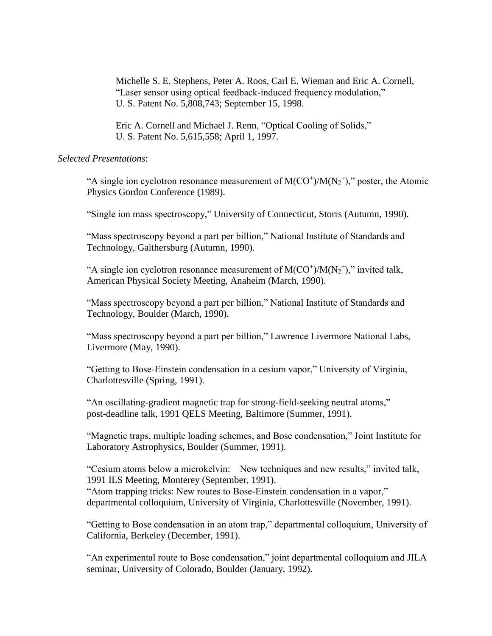Michelle S. E. Stephens, Peter A. Roos, Carl E. Wieman and Eric A. Cornell, "Laser sensor using optical feedback-induced frequency modulation," U. S. Patent No. 5,808,743; September 15, 1998.

Eric A. Cornell and Michael J. Renn, "Optical Cooling of Solids," U. S. Patent No. 5,615,558; April 1, 1997.

## *Selected Presentations*:

"A single ion cyclotron resonance measurement of  $M(CO<sup>+</sup>)/M(N<sub>2</sub><sup>+</sup>),$ " poster, the Atomic Physics Gordon Conference (1989).

"Single ion mass spectroscopy," University of Connecticut, Storrs (Autumn, 1990).

"Mass spectroscopy beyond a part per billion," National Institute of Standards and Technology, Gaithersburg (Autumn, 1990).

"A single ion cyclotron resonance measurement of  $M(CO<sup>+</sup>)/M(N<sub>2</sub><sup>+</sup>),$ " invited talk, American Physical Society Meeting, Anaheim (March, 1990).

"Mass spectroscopy beyond a part per billion," National Institute of Standards and Technology, Boulder (March, 1990).

"Mass spectroscopy beyond a part per billion," Lawrence Livermore National Labs, Livermore (May, 1990).

"Getting to Bose-Einstein condensation in a cesium vapor," University of Virginia, Charlottesville (Spring, 1991).

"An oscillating-gradient magnetic trap for strong-field-seeking neutral atoms," post-deadline talk, 1991 QELS Meeting, Baltimore (Summer, 1991).

"Magnetic traps, multiple loading schemes, and Bose condensation," Joint Institute for Laboratory Astrophysics, Boulder (Summer, 1991).

"Cesium atoms below a microkelvin: New techniques and new results," invited talk, 1991 ILS Meeting, Monterey (September, 1991).

"Atom trapping tricks: New routes to Bose-Einstein condensation in a vapor," departmental colloquium, University of Virginia, Charlottesville (November, 1991).

"Getting to Bose condensation in an atom trap," departmental colloquium, University of California, Berkeley (December, 1991).

"An experimental route to Bose condensation," joint departmental colloquium and JILA seminar, University of Colorado, Boulder (January, 1992).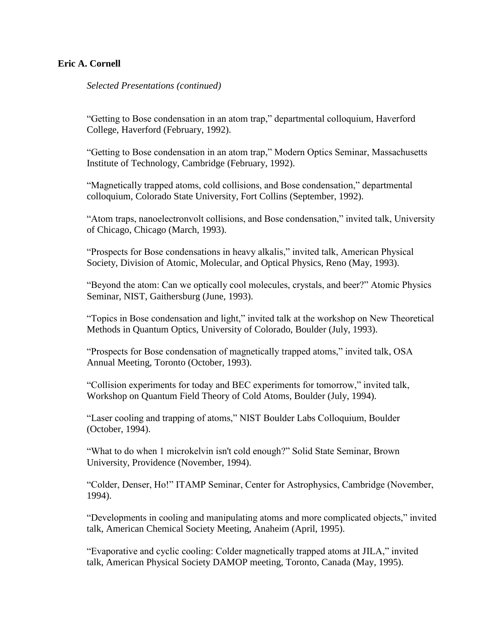*Selected Presentations (continued)*

"Getting to Bose condensation in an atom trap," departmental colloquium, Haverford College, Haverford (February, 1992).

"Getting to Bose condensation in an atom trap," Modern Optics Seminar, Massachusetts Institute of Technology, Cambridge (February, 1992).

"Magnetically trapped atoms, cold collisions, and Bose condensation," departmental colloquium, Colorado State University, Fort Collins (September, 1992).

"Atom traps, nanoelectronvolt collisions, and Bose condensation," invited talk, University of Chicago, Chicago (March, 1993).

"Prospects for Bose condensations in heavy alkalis," invited talk, American Physical Society, Division of Atomic, Molecular, and Optical Physics, Reno (May, 1993).

"Beyond the atom: Can we optically cool molecules, crystals, and beer?" Atomic Physics Seminar, NIST, Gaithersburg (June, 1993).

"Topics in Bose condensation and light," invited talk at the workshop on New Theoretical Methods in Quantum Optics, University of Colorado, Boulder (July, 1993).

"Prospects for Bose condensation of magnetically trapped atoms," invited talk, OSA Annual Meeting, Toronto (October, 1993).

"Collision experiments for today and BEC experiments for tomorrow," invited talk, Workshop on Quantum Field Theory of Cold Atoms, Boulder (July, 1994).

"Laser cooling and trapping of atoms," NIST Boulder Labs Colloquium, Boulder (October, 1994).

"What to do when 1 microkelvin isn't cold enough?" Solid State Seminar, Brown University, Providence (November, 1994).

"Colder, Denser, Ho!" ITAMP Seminar, Center for Astrophysics, Cambridge (November, 1994).

"Developments in cooling and manipulating atoms and more complicated objects," invited talk, American Chemical Society Meeting, Anaheim (April, 1995).

"Evaporative and cyclic cooling: Colder magnetically trapped atoms at JILA," invited talk, American Physical Society DAMOP meeting, Toronto, Canada (May, 1995).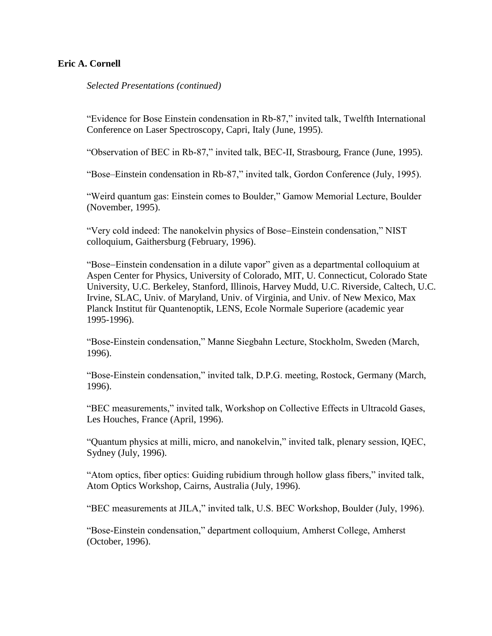*Selected Presentations (continued)*

"Evidence for Bose Einstein condensation in Rb-87," invited talk, Twelfth International Conference on Laser Spectroscopy, Capri, Italy (June, 1995).

"Observation of BEC in Rb-87," invited talk, BEC-II, Strasbourg, France (June, 1995).

"Bose–Einstein condensation in Rb-87," invited talk, Gordon Conference (July, 1995).

"Weird quantum gas: Einstein comes to Boulder," Gamow Memorial Lecture, Boulder (November, 1995).

"Very cold indeed: The nanokelvin physics of Bose–Einstein condensation," NIST colloquium, Gaithersburg (February, 1996).

"Bose-Einstein condensation in a dilute vapor" given as a departmental colloquium at Aspen Center for Physics, University of Colorado, MIT, U. Connecticut, Colorado State University, U.C. Berkeley, Stanford, Illinois, Harvey Mudd, U.C. Riverside, Caltech, U.C. Irvine, SLAC, Univ. of Maryland, Univ. of Virginia, and Univ. of New Mexico, Max Planck Institut für Quantenoptik, LENS, Ecole Normale Superiore (academic year 1995-1996).

"Bose-Einstein condensation," Manne Siegbahn Lecture, Stockholm, Sweden (March, 1996).

"Bose-Einstein condensation," invited talk, D.P.G. meeting, Rostock, Germany (March, 1996).

"BEC measurements," invited talk, Workshop on Collective Effects in Ultracold Gases, Les Houches, France (April, 1996).

"Quantum physics at milli, micro, and nanokelvin," invited talk, plenary session, IQEC, Sydney (July, 1996).

"Atom optics, fiber optics: Guiding rubidium through hollow glass fibers," invited talk, Atom Optics Workshop, Cairns, Australia (July, 1996).

"BEC measurements at JILA," invited talk, U.S. BEC Workshop, Boulder (July, 1996).

"Bose-Einstein condensation," department colloquium, Amherst College, Amherst (October, 1996).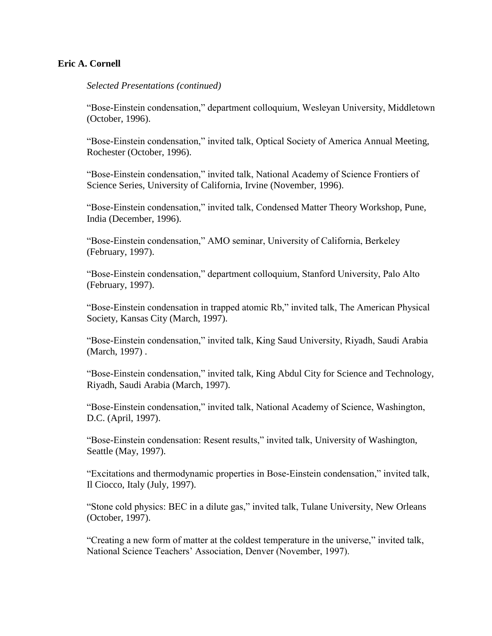### *Selected Presentations (continued)*

"Bose-Einstein condensation," department colloquium, Wesleyan University, Middletown (October, 1996).

"Bose-Einstein condensation," invited talk, Optical Society of America Annual Meeting, Rochester (October, 1996).

"Bose-Einstein condensation," invited talk, National Academy of Science Frontiers of Science Series, University of California, Irvine (November, 1996).

"Bose-Einstein condensation," invited talk, Condensed Matter Theory Workshop, Pune, India (December, 1996).

"Bose-Einstein condensation," AMO seminar, University of California, Berkeley (February, 1997).

"Bose-Einstein condensation," department colloquium, Stanford University, Palo Alto (February, 1997).

"Bose-Einstein condensation in trapped atomic Rb," invited talk, The American Physical Society, Kansas City (March, 1997).

"Bose-Einstein condensation," invited talk, King Saud University, Riyadh, Saudi Arabia (March, 1997) .

"Bose-Einstein condensation," invited talk, King Abdul City for Science and Technology, Riyadh, Saudi Arabia (March, 1997).

"Bose-Einstein condensation," invited talk, National Academy of Science, Washington, D.C. (April, 1997).

"Bose-Einstein condensation: Resent results," invited talk, University of Washington, Seattle (May, 1997).

"Excitations and thermodynamic properties in Bose-Einstein condensation," invited talk, Il Ciocco, Italy (July, 1997).

"Stone cold physics: BEC in a dilute gas," invited talk, Tulane University, New Orleans (October, 1997).

"Creating a new form of matter at the coldest temperature in the universe," invited talk, National Science Teachers' Association, Denver (November, 1997).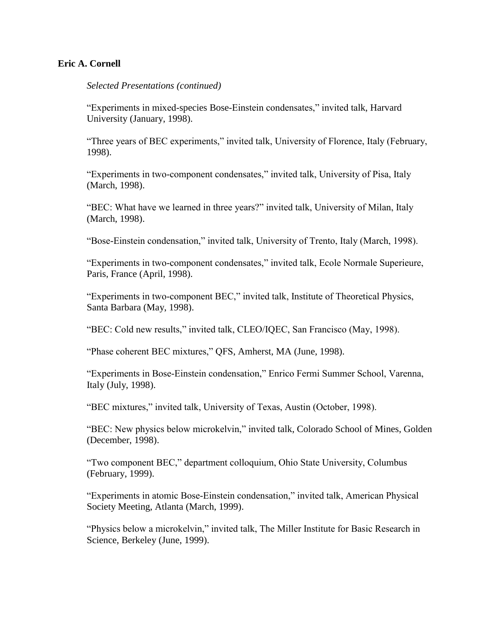*Selected Presentations (continued)*

"Experiments in mixed-species Bose-Einstein condensates," invited talk, Harvard University (January, 1998).

"Three years of BEC experiments," invited talk, University of Florence, Italy (February, 1998).

"Experiments in two-component condensates," invited talk, University of Pisa, Italy (March, 1998).

"BEC: What have we learned in three years?" invited talk, University of Milan, Italy (March, 1998).

"Bose-Einstein condensation," invited talk, University of Trento, Italy (March, 1998).

"Experiments in two-component condensates," invited talk, Ecole Normale Superieure, Paris, France (April, 1998).

"Experiments in two-component BEC," invited talk, Institute of Theoretical Physics, Santa Barbara (May, 1998).

"BEC: Cold new results," invited talk, CLEO/IQEC, San Francisco (May, 1998).

"Phase coherent BEC mixtures," QFS, Amherst, MA (June, 1998).

"Experiments in Bose-Einstein condensation," Enrico Fermi Summer School, Varenna, Italy (July, 1998).

"BEC mixtures," invited talk, University of Texas, Austin (October, 1998).

"BEC: New physics below microkelvin," invited talk, Colorado School of Mines, Golden (December, 1998).

"Two component BEC," department colloquium, Ohio State University, Columbus (February, 1999).

"Experiments in atomic Bose-Einstein condensation," invited talk, American Physical Society Meeting, Atlanta (March, 1999).

"Physics below a microkelvin," invited talk, The Miller Institute for Basic Research in Science, Berkeley (June, 1999).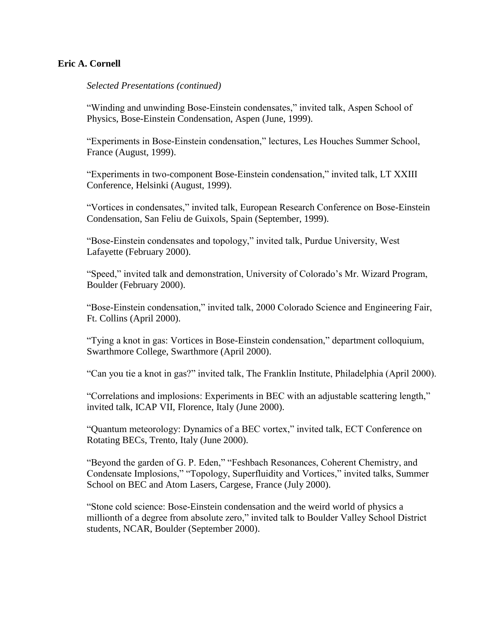*Selected Presentations (continued)*

"Winding and unwinding Bose-Einstein condensates," invited talk, Aspen School of Physics, Bose-Einstein Condensation, Aspen (June, 1999).

"Experiments in Bose-Einstein condensation," lectures, Les Houches Summer School, France (August, 1999).

"Experiments in two-component Bose-Einstein condensation," invited talk, LT XXIII Conference, Helsinki (August, 1999).

"Vortices in condensates," invited talk, European Research Conference on Bose-Einstein Condensation, San Feliu de Guixols, Spain (September, 1999).

"Bose-Einstein condensates and topology," invited talk, Purdue University, West Lafayette (February 2000).

"Speed," invited talk and demonstration, University of Colorado's Mr. Wizard Program, Boulder (February 2000).

"Bose-Einstein condensation," invited talk, 2000 Colorado Science and Engineering Fair, Ft. Collins (April 2000).

"Tying a knot in gas: Vortices in Bose-Einstein condensation," department colloquium, Swarthmore College, Swarthmore (April 2000).

"Can you tie a knot in gas?" invited talk, The Franklin Institute, Philadelphia (April 2000).

"Correlations and implosions: Experiments in BEC with an adjustable scattering length," invited talk, ICAP VII, Florence, Italy (June 2000).

"Quantum meteorology: Dynamics of a BEC vortex," invited talk, ECT Conference on Rotating BECs, Trento, Italy (June 2000).

"Beyond the garden of G. P. Eden," "Feshbach Resonances, Coherent Chemistry, and Condensate Implosions," "Topology, Superfluidity and Vortices," invited talks, Summer School on BEC and Atom Lasers, Cargese, France (July 2000).

"Stone cold science: Bose-Einstein condensation and the weird world of physics a millionth of a degree from absolute zero," invited talk to Boulder Valley School District students, NCAR, Boulder (September 2000).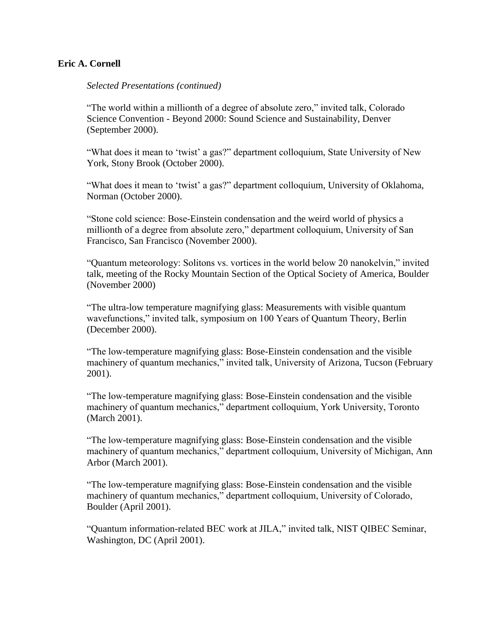### *Selected Presentations (continued)*

"The world within a millionth of a degree of absolute zero," invited talk, Colorado Science Convention - Beyond 2000: Sound Science and Sustainability, Denver (September 2000).

"What does it mean to 'twist' a gas?" department colloquium, State University of New York, Stony Brook (October 2000).

"What does it mean to 'twist' a gas?" department colloquium, University of Oklahoma, Norman (October 2000).

"Stone cold science: Bose-Einstein condensation and the weird world of physics a millionth of a degree from absolute zero," department colloquium, University of San Francisco, San Francisco (November 2000).

"Quantum meteorology: Solitons vs. vortices in the world below 20 nanokelvin," invited talk, meeting of the Rocky Mountain Section of the Optical Society of America, Boulder (November 2000)

"The ultra-low temperature magnifying glass: Measurements with visible quantum wavefunctions," invited talk, symposium on 100 Years of Quantum Theory, Berlin (December 2000).

"The low-temperature magnifying glass: Bose-Einstein condensation and the visible machinery of quantum mechanics," invited talk, University of Arizona, Tucson (February 2001).

"The low-temperature magnifying glass: Bose-Einstein condensation and the visible machinery of quantum mechanics," department colloquium, York University, Toronto (March 2001).

"The low-temperature magnifying glass: Bose-Einstein condensation and the visible machinery of quantum mechanics," department colloquium, University of Michigan, Ann Arbor (March 2001).

"The low-temperature magnifying glass: Bose-Einstein condensation and the visible machinery of quantum mechanics," department colloquium, University of Colorado, Boulder (April 2001).

"Quantum information-related BEC work at JILA," invited talk, NIST QIBEC Seminar, Washington, DC (April 2001).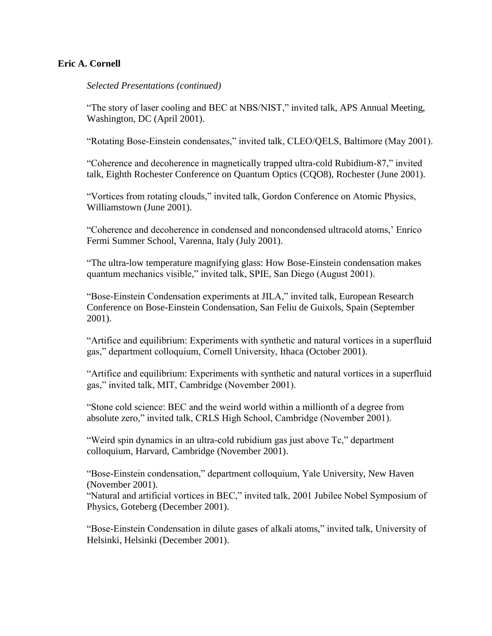*Selected Presentations (continued)*

"The story of laser cooling and BEC at NBS/NIST," invited talk, APS Annual Meeting, Washington, DC (April 2001).

"Rotating Bose-Einstein condensates," invited talk, CLEO/QELS, Baltimore (May 2001).

"Coherence and decoherence in magnetically trapped ultra-cold Rubidium-87," invited talk, Eighth Rochester Conference on Quantum Optics (CQO8), Rochester (June 2001).

"Vortices from rotating clouds," invited talk, Gordon Conference on Atomic Physics, Williamstown (June 2001).

"Coherence and decoherence in condensed and noncondensed ultracold atoms,' Enrico Fermi Summer School, Varenna, Italy (July 2001).

"The ultra-low temperature magnifying glass: How Bose-Einstein condensation makes quantum mechanics visible," invited talk, SPIE, San Diego (August 2001).

"Bose-Einstein Condensation experiments at JILA," invited talk, European Research Conference on Bose-Einstein Condensation, San Feliu de Guixols, Spain (September 2001).

"Artifice and equilibrium: Experiments with synthetic and natural vortices in a superfluid gas," department colloquium, Cornell University, Ithaca (October 2001).

"Artifice and equilibrium: Experiments with synthetic and natural vortices in a superfluid gas," invited talk, MIT, Cambridge (November 2001).

"Stone cold science: BEC and the weird world within a millionth of a degree from absolute zero," invited talk, CRLS High School, Cambridge (November 2001).

"Weird spin dynamics in an ultra-cold rubidium gas just above Tc," department colloquium, Harvard, Cambridge (November 2001).

"Bose-Einstein condensation," department colloquium, Yale University, New Haven (November 2001).

"Natural and artificial vortices in BEC," invited talk, 2001 Jubilee Nobel Symposium of Physics, Goteberg (December 2001).

"Bose-Einstein Condensation in dilute gases of alkali atoms," invited talk, University of Helsinki, Helsinki (December 2001).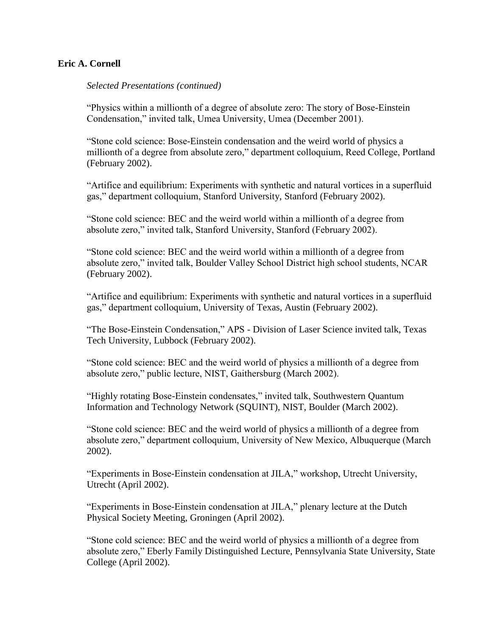*Selected Presentations (continued)*

"Physics within a millionth of a degree of absolute zero: The story of Bose-Einstein Condensation," invited talk, Umea University, Umea (December 2001).

"Stone cold science: Bose-Einstein condensation and the weird world of physics a millionth of a degree from absolute zero," department colloquium, Reed College, Portland (February 2002).

"Artifice and equilibrium: Experiments with synthetic and natural vortices in a superfluid gas," department colloquium, Stanford University, Stanford (February 2002).

"Stone cold science: BEC and the weird world within a millionth of a degree from absolute zero," invited talk, Stanford University, Stanford (February 2002).

"Stone cold science: BEC and the weird world within a millionth of a degree from absolute zero," invited talk, Boulder Valley School District high school students, NCAR (February 2002).

"Artifice and equilibrium: Experiments with synthetic and natural vortices in a superfluid gas," department colloquium, University of Texas, Austin (February 2002).

"The Bose-Einstein Condensation," APS - Division of Laser Science invited talk, Texas Tech University, Lubbock (February 2002).

"Stone cold science: BEC and the weird world of physics a millionth of a degree from absolute zero," public lecture, NIST, Gaithersburg (March 2002).

"Highly rotating Bose-Einstein condensates," invited talk, Southwestern Quantum Information and Technology Network (SQUINT), NIST, Boulder (March 2002).

"Stone cold science: BEC and the weird world of physics a millionth of a degree from absolute zero," department colloquium, University of New Mexico, Albuquerque (March 2002).

"Experiments in Bose-Einstein condensation at JILA," workshop, Utrecht University, Utrecht (April 2002).

"Experiments in Bose-Einstein condensation at JILA," plenary lecture at the Dutch Physical Society Meeting, Groningen (April 2002).

"Stone cold science: BEC and the weird world of physics a millionth of a degree from absolute zero," Eberly Family Distinguished Lecture, Pennsylvania State University, State College (April 2002).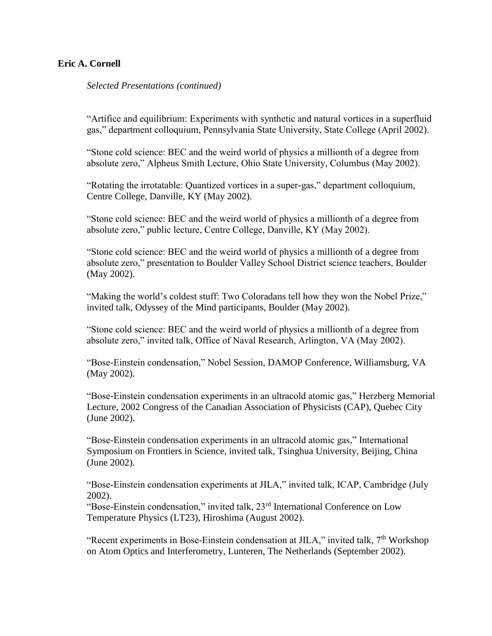*Selected Presentations (continued)*

"Artifice and equilibrium: Experiments with synthetic and natural vortices in a superfluid gas," department colloquium, Pennsylvania State University, State College (April 2002).

"Stone cold science: BEC and the weird world of physics a millionth of a degree from absolute zero," Alpheus Smith Lecture, Ohio State University, Columbus (May 2002).

"Rotating the irrotatable: Quantized vortices in a super-gas," department colloquium, Centre College, Danville, KY (May 2002).

"Stone cold science: BEC and the weird world of physics a millionth of a degree from absolute zero," public lecture, Centre College, Danville, KY (May 2002).

"Stone cold science: BEC and the weird world of physics a millionth of a degree from absolute zero," presentation to Boulder Valley School District science teachers, Boulder (May 2002).

"Making the world's coldest stuff: Two Coloradans tell how they won the Nobel Prize," invited talk, Odyssey of the Mind participants, Boulder (May 2002).

"Stone cold science: BEC and the weird world of physics a millionth of a degree from absolute zero," invited talk, Office of Naval Research, Arlington, VA (May 2002).

"Bose-Einstein condensation," Nobel Session, DAMOP Conference, Williamsburg, VA (May 2002).

"Bose-Einstein condensation experiments in an ultracold atomic gas," Herzberg Memorial Lecture, 2002 Congress of the Canadian Association of Physicists (CAP), Quebec City (June 2002).

"Bose-Einstein condensation experiments in an ultracold atomic gas," International Symposium on Frontiers in Science, invited talk, Tsinghua University, Beijing, China (June 2002).

"Bose-Einstein condensation experiments at JILA," invited talk, ICAP, Cambridge (July 2002).

"Bose-Einstein condensation," invited talk, 23rd International Conference on Low Temperature Physics (LT23), Hiroshima (August 2002).

"Recent experiments in Bose-Einstein condensation at JILA," invited talk, 7<sup>th</sup> Workshop on Atom Optics and Interferometry, Lunteren, The Netherlands (September 2002).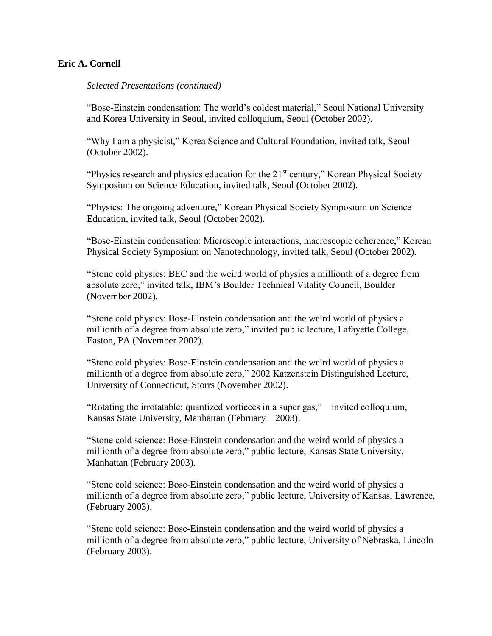### *Selected Presentations (continued)*

"Bose-Einstein condensation: The world's coldest material," Seoul National University and Korea University in Seoul, invited colloquium, Seoul (October 2002).

"Why I am a physicist," Korea Science and Cultural Foundation, invited talk, Seoul (October 2002).

"Physics research and physics education for the 21<sup>st</sup> century," Korean Physical Society Symposium on Science Education, invited talk, Seoul (October 2002).

"Physics: The ongoing adventure," Korean Physical Society Symposium on Science Education, invited talk, Seoul (October 2002).

"Bose-Einstein condensation: Microscopic interactions, macroscopic coherence," Korean Physical Society Symposium on Nanotechnology, invited talk, Seoul (October 2002).

"Stone cold physics: BEC and the weird world of physics a millionth of a degree from absolute zero," invited talk, IBM's Boulder Technical Vitality Council, Boulder (November 2002).

"Stone cold physics: Bose-Einstein condensation and the weird world of physics a millionth of a degree from absolute zero," invited public lecture, Lafayette College, Easton, PA (November 2002).

"Stone cold physics: Bose-Einstein condensation and the weird world of physics a millionth of a degree from absolute zero," 2002 Katzenstein Distinguished Lecture, University of Connecticut, Storrs (November 2002).

"Rotating the irrotatable: quantized vorticees in a super gas," invited colloquium, Kansas State University, Manhattan (February 2003).

"Stone cold science: Bose-Einstein condensation and the weird world of physics a millionth of a degree from absolute zero," public lecture, Kansas State University, Manhattan (February 2003).

"Stone cold science: Bose-Einstein condensation and the weird world of physics a millionth of a degree from absolute zero," public lecture, University of Kansas, Lawrence, (February 2003).

"Stone cold science: Bose-Einstein condensation and the weird world of physics a millionth of a degree from absolute zero," public lecture, University of Nebraska, Lincoln (February 2003).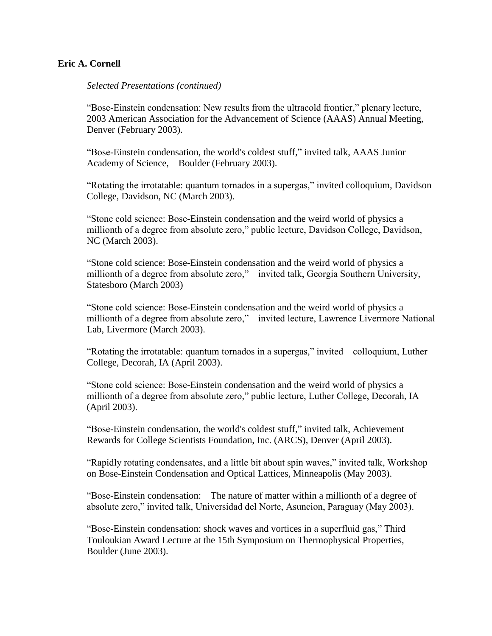### *Selected Presentations (continued)*

"Bose-Einstein condensation: New results from the ultracold frontier," plenary lecture, 2003 American Association for the Advancement of Science (AAAS) Annual Meeting, Denver (February 2003).

"Bose-Einstein condensation, the world's coldest stuff*,*" invited talk, AAAS Junior Academy of Science, Boulder (February 2003).

"Rotating the irrotatable: quantum tornados in a supergas," invited colloquium, Davidson College, Davidson, NC (March 2003).

"Stone cold science: Bose-Einstein condensation and the weird world of physics a millionth of a degree from absolute zero," public lecture, Davidson College, Davidson, NC (March 2003).

"Stone cold science: Bose-Einstein condensation and the weird world of physics a millionth of a degree from absolute zero," invited talk, Georgia Southern University, Statesboro (March 2003)

"Stone cold science: Bose-Einstein condensation and the weird world of physics a millionth of a degree from absolute zero," invited lecture, Lawrence Livermore National Lab, Livermore (March 2003).

"Rotating the irrotatable: quantum tornados in a supergas," invited colloquium, Luther College, Decorah, IA (April 2003).

"Stone cold science: Bose-Einstein condensation and the weird world of physics a millionth of a degree from absolute zero," public lecture, Luther College, Decorah, IA (April 2003).

"Bose-Einstein condensation, the world's coldest stuff*,*" invited talk, Achievement Rewards for College Scientists Foundation, Inc. (ARCS), Denver (April 2003).

"Rapidly rotating condensates, and a little bit about spin waves," invited talk, Workshop on Bose-Einstein Condensation and Optical Lattices, Minneapolis (May 2003).

"Bose-Einstein condensation: The nature of matter within a millionth of a degree of absolute zero," invited talk, Universidad del Norte, Asuncion, Paraguay (May 2003).

"Bose-Einstein condensation: shock waves and vortices in a superfluid gas," Third Touloukian Award Lecture at the 15th Symposium on Thermophysical Properties, Boulder (June 2003).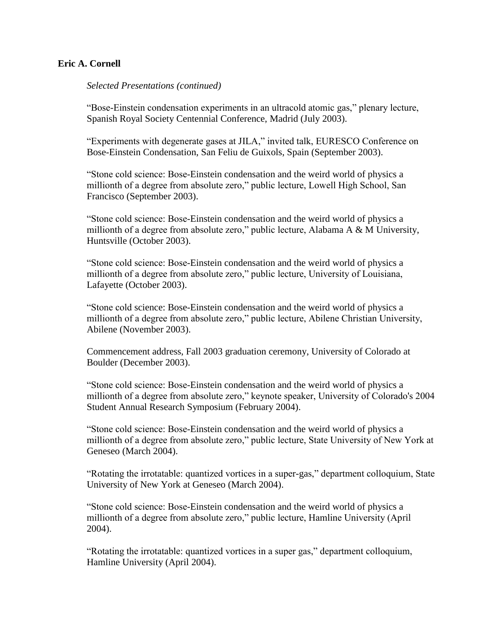### *Selected Presentations (continued)*

"Bose-Einstein condensation experiments in an ultracold atomic gas," plenary lecture, Spanish Royal Society Centennial Conference, Madrid (July 2003).

"Experiments with degenerate gases at JILA," invited talk, EURESCO Conference on Bose-Einstein Condensation, San Feliu de Guixols, Spain (September 2003).

"Stone cold science: Bose-Einstein condensation and the weird world of physics a millionth of a degree from absolute zero," public lecture, Lowell High School, San Francisco (September 2003).

"Stone cold science: Bose-Einstein condensation and the weird world of physics a millionth of a degree from absolute zero," public lecture, Alabama A & M University, Huntsville (October 2003).

"Stone cold science: Bose-Einstein condensation and the weird world of physics a millionth of a degree from absolute zero," public lecture, University of Louisiana, Lafayette (October 2003).

"Stone cold science: Bose-Einstein condensation and the weird world of physics a millionth of a degree from absolute zero," public lecture, Abilene Christian University, Abilene (November 2003).

Commencement address, Fall 2003 graduation ceremony, University of Colorado at Boulder (December 2003).

"Stone cold science: Bose-Einstein condensation and the weird world of physics a millionth of a degree from absolute zero," keynote speaker, University of Colorado's 2004 Student Annual Research Symposium (February 2004).

"Stone cold science: Bose-Einstein condensation and the weird world of physics a millionth of a degree from absolute zero," public lecture, State University of New York at Geneseo (March 2004).

"Rotating the irrotatable: quantized vortices in a super-gas," department colloquium, State University of New York at Geneseo (March 2004).

"Stone cold science: Bose-Einstein condensation and the weird world of physics a millionth of a degree from absolute zero," public lecture, Hamline University (April 2004).

"Rotating the irrotatable: quantized vortices in a super gas," department colloquium, Hamline University (April 2004).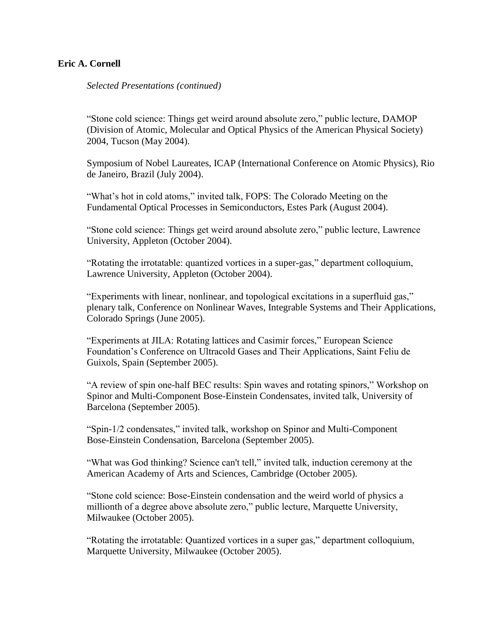*Selected Presentations (continued)*

"Stone cold science: Things get weird around absolute zero," public lecture, DAMOP (Division of Atomic, Molecular and Optical Physics of the American Physical Society) 2004, Tucson (May 2004).

Symposium of Nobel Laureates, ICAP (International Conference on Atomic Physics), Rio de Janeiro, Brazil (July 2004).

"What's hot in cold atoms," invited talk, FOPS: The Colorado Meeting on the Fundamental Optical Processes in Semiconductors, Estes Park (August 2004).

"Stone cold science: Things get weird around absolute zero," public lecture, Lawrence University, Appleton (October 2004).

"Rotating the irrotatable: quantized vortices in a super-gas," department colloquium, Lawrence University, Appleton (October 2004).

"Experiments with linear, nonlinear, and topological excitations in a superfluid gas," plenary talk, Conference on Nonlinear Waves, Integrable Systems and Their Applications, Colorado Springs (June 2005).

"Experiments at JILA: Rotating lattices and Casimir forces," European Science Foundation's Conference on Ultracold Gases and Their Applications, Saint Feliu de Guixols, Spain (September 2005).

"A review of spin one-half BEC results: Spin waves and rotating spinors," Workshop on Spinor and Multi-Component Bose-Einstein Condensates, invited talk, University of Barcelona (September 2005).

"Spin-1/2 condensates," invited talk, workshop on Spinor and Multi-Component Bose-Einstein Condensation, Barcelona (September 2005).

"What was God thinking? Science can't tell," invited talk, induction ceremony at the American Academy of Arts and Sciences, Cambridge (October 2005).

"Stone cold science: Bose-Einstein condensation and the weird world of physics a millionth of a degree above absolute zero," public lecture, Marquette University, Milwaukee (October 2005).

"Rotating the irrotatable: Quantized vortices in a super gas," department colloquium, Marquette University, Milwaukee (October 2005).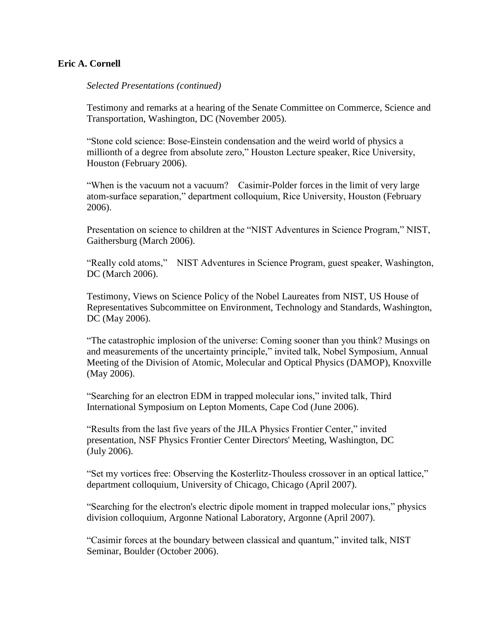*Selected Presentations (continued)*

Testimony and remarks at a hearing of the Senate Committee on Commerce, Science and Transportation, Washington, DC (November 2005).

"Stone cold science: Bose-Einstein condensation and the weird world of physics a millionth of a degree from absolute zero," Houston Lecture speaker, Rice University, Houston (February 2006).

"When is the vacuum not a vacuum? Casimir-Polder forces in the limit of very large atom-surface separation," department colloquium, Rice University, Houston (February 2006).

Presentation on science to children at the "NIST Adventures in Science Program," NIST, Gaithersburg (March 2006).

"Really cold atoms," NIST Adventures in Science Program, guest speaker, Washington, DC (March 2006).

Testimony, Views on Science Policy of the Nobel Laureates from NIST, US House of Representatives Subcommittee on Environment, Technology and Standards, Washington, DC (May 2006).

"The catastrophic implosion of the universe: Coming sooner than you think? Musings on and measurements of the uncertainty principle," invited talk, Nobel Symposium, Annual Meeting of the Division of Atomic, Molecular and Optical Physics (DAMOP), Knoxville (May 2006).

"Searching for an electron EDM in trapped molecular ions," invited talk, Third International Symposium on Lepton Moments, Cape Cod (June 2006).

"Results from the last five years of the JILA Physics Frontier Center," invited presentation, NSF Physics Frontier Center Directors' Meeting, Washington, DC (July 2006).

"Set my vortices free: Observing the Kosterlitz-Thouless crossover in an optical lattice," department colloquium, University of Chicago, Chicago (April 2007).

"Searching for the electron's electric dipole moment in trapped molecular ions," physics division colloquium, Argonne National Laboratory, Argonne (April 2007).

"Casimir forces at the boundary between classical and quantum," invited talk, NIST Seminar, Boulder (October 2006).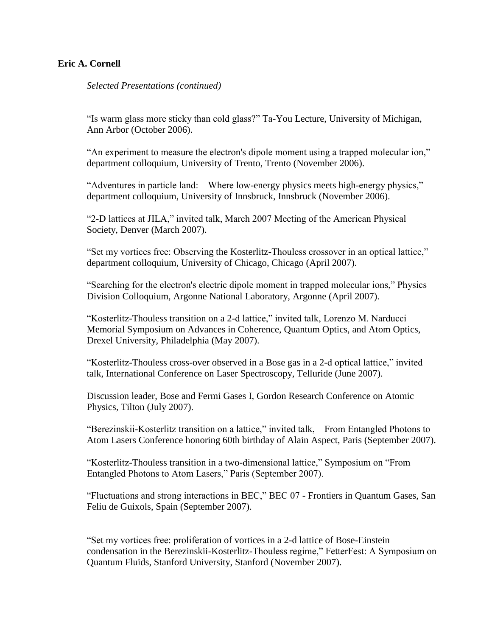*Selected Presentations (continued)*

"Is warm glass more sticky than cold glass?" Ta-You Lecture, University of Michigan, Ann Arbor (October 2006).

"An experiment to measure the electron's dipole moment using a trapped molecular ion," department colloquium, University of Trento, Trento (November 2006).

"Adventures in particle land: Where low-energy physics meets high-energy physics," department colloquium, University of Innsbruck, Innsbruck (November 2006).

"2-D lattices at JILA," invited talk, March 2007 Meeting of the American Physical Society, Denver (March 2007).

"Set my vortices free: Observing the Kosterlitz-Thouless crossover in an optical lattice," department colloquium, University of Chicago, Chicago (April 2007).

"Searching for the electron's electric dipole moment in trapped molecular ions," Physics Division Colloquium, Argonne National Laboratory, Argonne (April 2007).

"Kosterlitz-Thouless transition on a 2-d lattice," invited talk, Lorenzo M. Narducci Memorial Symposium on Advances in Coherence, Quantum Optics, and Atom Optics, Drexel University, Philadelphia (May 2007).

"Kosterlitz-Thouless cross-over observed in a Bose gas in a 2-d optical lattice," invited talk, International Conference on Laser Spectroscopy, Telluride (June 2007).

Discussion leader, Bose and Fermi Gases I, Gordon Research Conference on Atomic Physics, Tilton (July 2007).

"Berezinskii-Kosterlitz transition on a lattice," invited talk, From Entangled Photons to Atom Lasers Conference honoring 60th birthday of Alain Aspect, Paris (September 2007).

"Kosterlitz-Thouless transition in a two-dimensional lattice," Symposium on "From Entangled Photons to Atom Lasers," Paris (September 2007).

"Fluctuations and strong interactions in BEC," BEC 07 - Frontiers in Quantum Gases, San Feliu de Guixols, Spain (September 2007).

"Set my vortices free: proliferation of vortices in a 2-d lattice of Bose-Einstein condensation in the Berezinskii-Kosterlitz-Thouless regime," FetterFest: A Symposium on Quantum Fluids, Stanford University, Stanford (November 2007).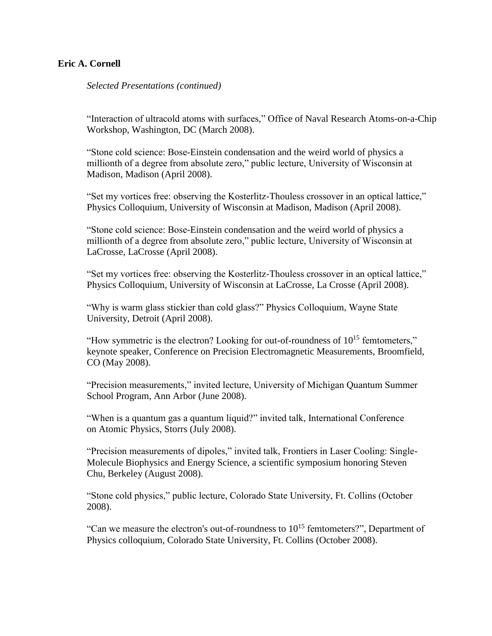*Selected Presentations (continued)*

"Interaction of ultracold atoms with surfaces," Office of Naval Research Atoms-on-a-Chip Workshop, Washington, DC (March 2008).

"Stone cold science: Bose-Einstein condensation and the weird world of physics a millionth of a degree from absolute zero," public lecture, University of Wisconsin at Madison, Madison (April 2008).

"Set my vortices free: observing the Kosterlitz-Thouless crossover in an optical lattice," Physics Colloquium, University of Wisconsin at Madison, Madison (April 2008).

"Stone cold science: Bose-Einstein condensation and the weird world of physics a millionth of a degree from absolute zero," public lecture, University of Wisconsin at LaCrosse, LaCrosse (April 2008).

"Set my vortices free: observing the Kosterlitz-Thouless crossover in an optical lattice," Physics Colloquium, University of Wisconsin at LaCrosse, La Crosse (April 2008).

"Why is warm glass stickier than cold glass?" Physics Colloquium, Wayne State University, Detroit (April 2008).

"How symmetric is the electron? Looking for out-of-roundness of  $10^{15}$  femtometers," keynote speaker, Conference on Precision Electromagnetic Measurements, Broomfield, CO (May 2008).

"Precision measurements," invited lecture, University of Michigan Quantum Summer School Program, Ann Arbor (June 2008).

"When is a quantum gas a quantum liquid?" invited talk, International Conference on Atomic Physics, Storrs (July 2008).

"Precision measurements of dipoles," invited talk, Frontiers in Laser Cooling: Single-Molecule Biophysics and Energy Science, a scientific symposium honoring Steven Chu, Berkeley (August 2008).

"Stone cold physics," public lecture, Colorado State University, Ft. Collins (October 2008).

"Can we measure the electron's out-of-roundness to  $10^{15}$  femtometers?", Department of Physics colloquium, Colorado State University, Ft. Collins (October 2008).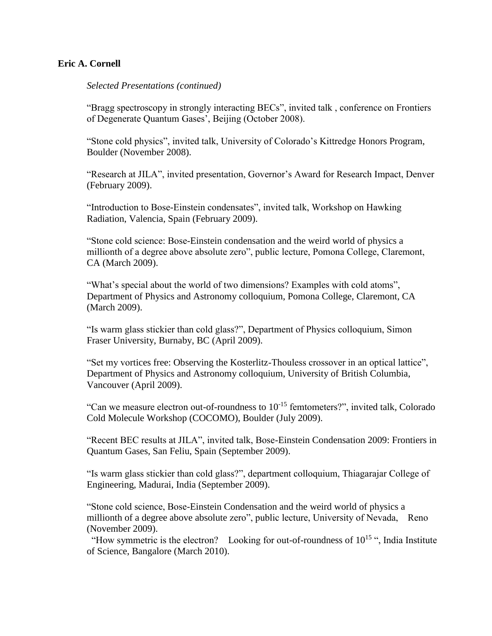*Selected Presentations (continued)*

"Bragg spectroscopy in strongly interacting BECs", invited talk , conference on Frontiers of Degenerate Quantum Gases', Beijing (October 2008).

"Stone cold physics", invited talk, University of Colorado's Kittredge Honors Program, Boulder (November 2008).

"Research at JILA", invited presentation, Governor's Award for Research Impact, Denver (February 2009).

"Introduction to Bose-Einstein condensates", invited talk, Workshop on Hawking Radiation, Valencia, Spain (February 2009).

"Stone cold science: Bose-Einstein condensation and the weird world of physics a millionth of a degree above absolute zero", public lecture, Pomona College, Claremont, CA (March 2009).

"What's special about the world of two dimensions? Examples with cold atoms", Department of Physics and Astronomy colloquium, Pomona College, Claremont, CA (March 2009).

"Is warm glass stickier than cold glass?", Department of Physics colloquium, Simon Fraser University, Burnaby, BC (April 2009).

"Set my vortices free: Observing the Kosterlitz-Thouless crossover in an optical lattice", Department of Physics and Astronomy colloquium, University of British Columbia, Vancouver (April 2009).

"Can we measure electron out-of-roundness to  $10^{-15}$  femtometers?", invited talk, Colorado Cold Molecule Workshop (COCOMO), Boulder (July 2009).

"Recent BEC results at JILA", invited talk, Bose-Einstein Condensation 2009: Frontiers in Quantum Gases, San Feliu, Spain (September 2009).

"Is warm glass stickier than cold glass?", department colloquium, Thiagarajar College of Engineering, Madurai, India (September 2009).

"Stone cold science, Bose-Einstein Condensation and the weird world of physics a millionth of a degree above absolute zero", public lecture, University of Nevada, Reno (November 2009).

"How symmetric is the electron? Looking for out-of-roundness of  $10^{15}$ ", India Institute of Science, Bangalore (March 2010).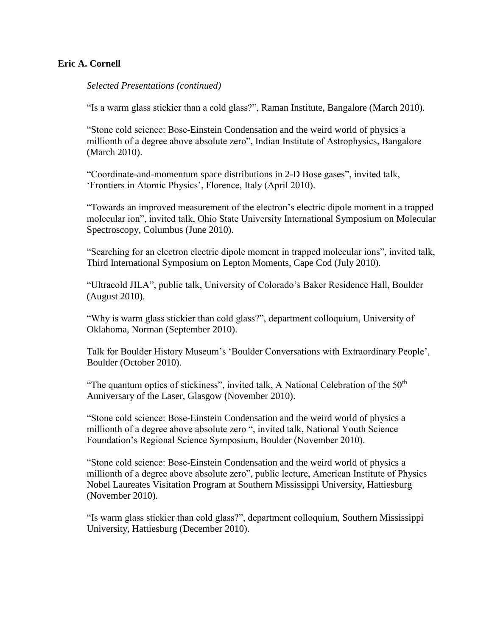*Selected Presentations (continued)*

"Is a warm glass stickier than a cold glass?", Raman Institute, Bangalore (March 2010).

"Stone cold science: Bose-Einstein Condensation and the weird world of physics a millionth of a degree above absolute zero", Indian Institute of Astrophysics, Bangalore (March 2010).

"Coordinate-and-momentum space distributions in 2-D Bose gases", invited talk, 'Frontiers in Atomic Physics', Florence, Italy (April 2010).

"Towards an improved measurement of the electron's electric dipole moment in a trapped molecular ion", invited talk, Ohio State University International Symposium on Molecular Spectroscopy, Columbus (June 2010).

"Searching for an electron electric dipole moment in trapped molecular ions", invited talk, Third International Symposium on Lepton Moments, Cape Cod (July 2010).

"Ultracold JILA", public talk, University of Colorado's Baker Residence Hall, Boulder (August 2010).

"Why is warm glass stickier than cold glass?", department colloquium, University of Oklahoma, Norman (September 2010).

Talk for Boulder History Museum's 'Boulder Conversations with Extraordinary People', Boulder (October 2010).

"The quantum optics of stickiness", invited talk, A National Celebration of the  $50<sup>th</sup>$ Anniversary of the Laser, Glasgow (November 2010).

"Stone cold science: Bose-Einstein Condensation and the weird world of physics a millionth of a degree above absolute zero ", invited talk, National Youth Science Foundation's Regional Science Symposium, Boulder (November 2010).

"Stone cold science: Bose-Einstein Condensation and the weird world of physics a millionth of a degree above absolute zero", public lecture, American Institute of Physics Nobel Laureates Visitation Program at Southern Mississippi University, Hattiesburg (November 2010).

"Is warm glass stickier than cold glass?", department colloquium, Southern Mississippi University, Hattiesburg (December 2010).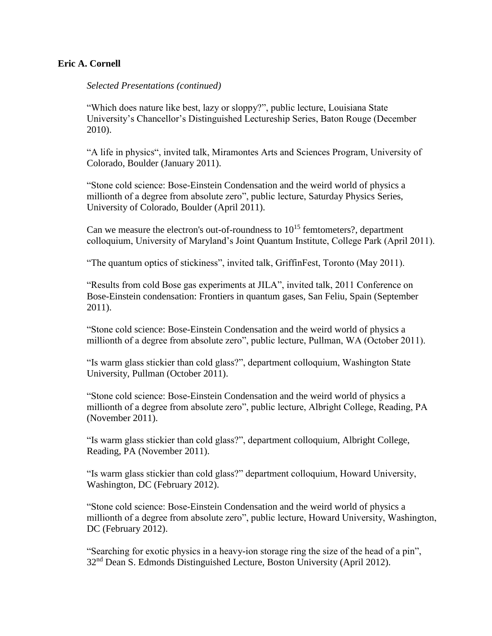### *Selected Presentations (continued)*

"Which does nature like best, lazy or sloppy?", public lecture, Louisiana State University's Chancellor's Distinguished Lectureship Series, Baton Rouge (December 2010).

"A life in physics", invited talk, Miramontes Arts and Sciences Program, University of Colorado, Boulder (January 2011).

"Stone cold science: Bose-Einstein Condensation and the weird world of physics a millionth of a degree from absolute zero", public lecture, Saturday Physics Series, University of Colorado, Boulder (April 2011).

Can we measure the electron's out-of-roundness to  $10^{15}$  femtometers?, department colloquium, University of Maryland's Joint Quantum Institute, College Park (April 2011).

"The quantum optics of stickiness", invited talk, GriffinFest, Toronto (May 2011).

"Results from cold Bose gas experiments at JILA", invited talk, 2011 Conference on Bose-Einstein condensation: Frontiers in quantum gases, San Feliu, Spain (September 2011).

"Stone cold science: Bose-Einstein Condensation and the weird world of physics a millionth of a degree from absolute zero", public lecture, Pullman, WA (October 2011).

"Is warm glass stickier than cold glass?", department colloquium, Washington State University, Pullman (October 2011).

"Stone cold science: Bose-Einstein Condensation and the weird world of physics a millionth of a degree from absolute zero", public lecture, Albright College, Reading, PA (November 2011).

"Is warm glass stickier than cold glass?", department colloquium, Albright College, Reading, PA (November 2011).

"Is warm glass stickier than cold glass?" department colloquium, Howard University, Washington, DC (February 2012).

"Stone cold science: Bose-Einstein Condensation and the weird world of physics a millionth of a degree from absolute zero", public lecture, Howard University, Washington, DC (February 2012).

"Searching for exotic physics in a heavy-ion storage ring the size of the head of a pin", 32<sup>nd</sup> Dean S. Edmonds Distinguished Lecture, Boston University (April 2012).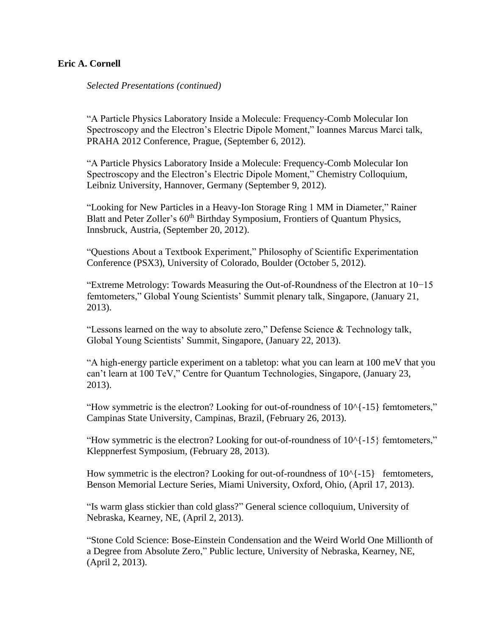*Selected Presentations (continued)*

"A Particle Physics Laboratory Inside a Molecule: Frequency-Comb Molecular Ion Spectroscopy and the Electron's Electric Dipole Moment," Ioannes Marcus Marci talk, PRAHA 2012 Conference, Prague, (September 6, 2012).

"A Particle Physics Laboratory Inside a Molecule: Frequency-Comb Molecular Ion Spectroscopy and the Electron's Electric Dipole Moment," Chemistry Colloquium, Leibniz University, Hannover, Germany (September 9, 2012).

"Looking for New Particles in a Heavy-Ion Storage Ring 1 MM in Diameter," Rainer Blatt and Peter Zoller's 60<sup>th</sup> Birthday Symposium, Frontiers of Quantum Physics, Innsbruck, Austria, (September 20, 2012).

"Questions About a Textbook Experiment," Philosophy of Scientific Experimentation Conference (PSX3), University of Colorado, Boulder (October 5, 2012).

"Extreme Metrology: Towards Measuring the Out-of-Roundness of the Electron at 10−15 femtometers," Global Young Scientists' Summit plenary talk, Singapore, (January 21, 2013).

"Lessons learned on the way to absolute zero," Defense Science & Technology talk, Global Young Scientists' Summit, Singapore, (January 22, 2013).

"A high-energy particle experiment on a tabletop: what you can learn at 100 meV that you can't learn at 100 TeV," Centre for Quantum Technologies, Singapore, (January 23, 2013).

"How symmetric is the electron? Looking for out-of-roundness of 10^{-15} femtometers," Campinas State University, Campinas, Brazil, (February 26, 2013).

"How symmetric is the electron? Looking for out-of-roundness of  $10^{4}$ -15} femtometers," Kleppnerfest Symposium, (February 28, 2013).

How symmetric is the electron? Looking for out-of-roundness of  $10^{6}$ {-15} femtometers, Benson Memorial Lecture Series, Miami University, Oxford, Ohio, (April 17, 2013).

"Is warm glass stickier than cold glass?" General science colloquium, University of Nebraska, Kearney, NE, (April 2, 2013).

"Stone Cold Science: Bose-Einstein Condensation and the Weird World One Millionth of a Degree from Absolute Zero," Public lecture, University of Nebraska, Kearney, NE, (April 2, 2013).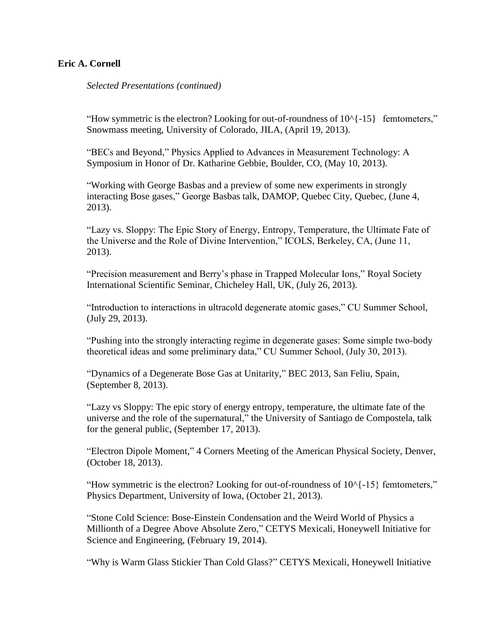*Selected Presentations (continued)*

"How symmetric is the electron? Looking for out-of-roundness of  $10^{-15}$  femtometers," Snowmass meeting, University of Colorado, JILA, (April 19, 2013).

"BECs and Beyond," Physics Applied to Advances in Measurement Technology: A Symposium in Honor of Dr. Katharine Gebbie, Boulder, CO, (May 10, 2013).

"Working with George Basbas and a preview of some new experiments in strongly interacting Bose gases," George Basbas talk, DAMOP, Quebec City, Quebec, (June 4, 2013).

"Lazy vs. Sloppy: The Epic Story of Energy, Entropy, Temperature, the Ultimate Fate of the Universe and the Role of Divine Intervention," ICOLS, Berkeley, CA, (June 11, 2013).

"Precision measurement and Berry's phase in Trapped Molecular Ions," Royal Society International Scientific Seminar, Chicheley Hall, UK, (July 26, 2013).

"Introduction to interactions in ultracold degenerate atomic gases," CU Summer School, (July 29, 2013).

"Pushing into the strongly interacting regime in degenerate gases: Some simple two-body theoretical ideas and some preliminary data," CU Summer School, (July 30, 2013).

"Dynamics of a Degenerate Bose Gas at Unitarity," BEC 2013, San Feliu, Spain, (September 8, 2013).

"Lazy vs Sloppy: The epic story of energy entropy, temperature, the ultimate fate of the universe and the role of the supernatural," the University of Santiago de Compostela, talk for the general public, (September 17, 2013).

"Electron Dipole Moment," 4 Corners Meeting of the American Physical Society, Denver, (October 18, 2013).

"How symmetric is the electron? Looking for out-of-roundness of  $10^{6}$ -15} femtometers," Physics Department, University of Iowa, (October 21, 2013).

"Stone Cold Science: Bose-Einstein Condensation and the Weird World of Physics a Millionth of a Degree Above Absolute Zero," CETYS Mexicali, Honeywell Initiative for Science and Engineering, (February 19, 2014).

"Why is Warm Glass Stickier Than Cold Glass?" CETYS Mexicali, Honeywell Initiative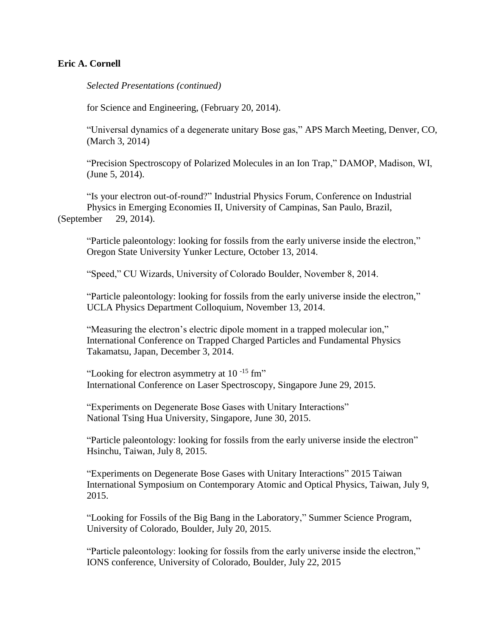*Selected Presentations (continued)*

for Science and Engineering, (February 20, 2014).

"Universal dynamics of a degenerate unitary Bose gas," APS March Meeting, Denver, CO, (March 3, 2014)

"Precision Spectroscopy of Polarized Molecules in an Ion Trap," DAMOP, Madison, WI, (June 5, 2014).

"Is your electron out-of-round?" Industrial Physics Forum, Conference on Industrial Physics in Emerging Economies II, University of Campinas, San Paulo, Brazil, (September 29, 2014).

"Particle paleontology: looking for fossils from the early universe inside the electron," Oregon State University Yunker Lecture, October 13, 2014.

"Speed," CU Wizards, University of Colorado Boulder, November 8, 2014.

"Particle paleontology: looking for fossils from the early universe inside the electron," UCLA Physics Department Colloquium, November 13, 2014.

"Measuring the electron's electric dipole moment in a trapped molecular ion," International Conference on Trapped Charged Particles and Fundamental Physics Takamatsu, Japan, December 3, 2014.

"Looking for electron asymmetry at  $10^{-15}$  fm" International Conference on Laser Spectroscopy, Singapore June 29, 2015.

"Experiments on Degenerate Bose Gases with Unitary Interactions" National Tsing Hua University, Singapore, June 30, 2015.

"Particle paleontology: looking for fossils from the early universe inside the electron" Hsinchu, Taiwan, July 8, 2015.

"Experiments on Degenerate Bose Gases with Unitary Interactions" 2015 Taiwan International Symposium on Contemporary Atomic and Optical Physics, Taiwan, July 9, 2015.

"Looking for Fossils of the Big Bang in the Laboratory," Summer Science Program, University of Colorado, Boulder, July 20, 2015.

"Particle paleontology: looking for fossils from the early universe inside the electron," IONS conference, University of Colorado, Boulder, July 22, 2015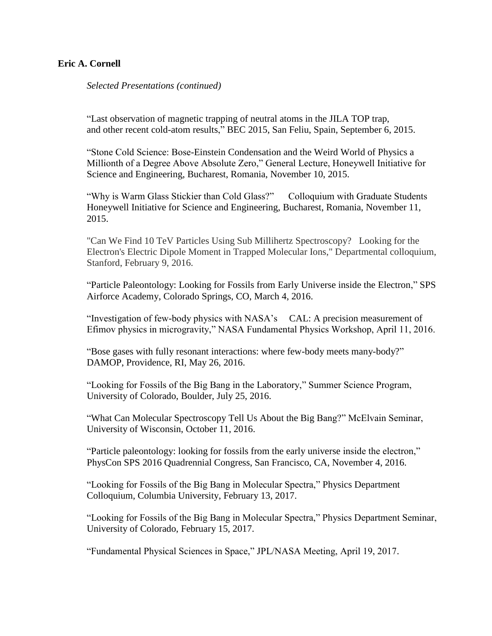*Selected Presentations (continued)*

"Last observation of magnetic trapping of neutral atoms in the JILA TOP trap, and other recent cold-atom results," BEC 2015, San Feliu, Spain, September 6, 2015.

"Stone Cold Science: Bose-Einstein Condensation and the Weird World of Physics a Millionth of a Degree Above Absolute Zero," General Lecture, Honeywell Initiative for Science and Engineering, Bucharest, Romania, November 10, 2015.

"Why is Warm Glass Stickier than Cold Glass?" Colloquium with Graduate Students Honeywell Initiative for Science and Engineering, Bucharest, Romania, November 11, 2015.

"Can We Find 10 TeV Particles Using Sub Millihertz Spectroscopy? Looking for the Electron's Electric Dipole Moment in Trapped Molecular Ions," Departmental colloquium, Stanford, February 9, 2016.

"Particle Paleontology: Looking for Fossils from Early Universe inside the Electron," SPS Airforce Academy, Colorado Springs, CO, March 4, 2016.

"Investigation of few-body physics with NASA's CAL: A precision measurement of Efimov physics in microgravity," NASA Fundamental Physics Workshop, April 11, 2016.

"Bose gases with fully resonant interactions: where few-body meets many-body?" DAMOP, Providence, RI, May 26, 2016.

"Looking for Fossils of the Big Bang in the Laboratory," Summer Science Program, University of Colorado, Boulder, July 25, 2016.

"What Can Molecular Spectroscopy Tell Us About the Big Bang?" McElvain Seminar, University of Wisconsin, October 11, 2016.

"Particle paleontology: looking for fossils from the early universe inside the electron," PhysCon SPS 2016 Quadrennial Congress, San Francisco, CA, November 4, 2016.

"Looking for Fossils of the Big Bang in Molecular Spectra," Physics Department Colloquium, Columbia University, February 13, 2017.

"Looking for Fossils of the Big Bang in Molecular Spectra," Physics Department Seminar, University of Colorado, February 15, 2017.

"Fundamental Physical Sciences in Space," JPL/NASA Meeting, April 19, 2017.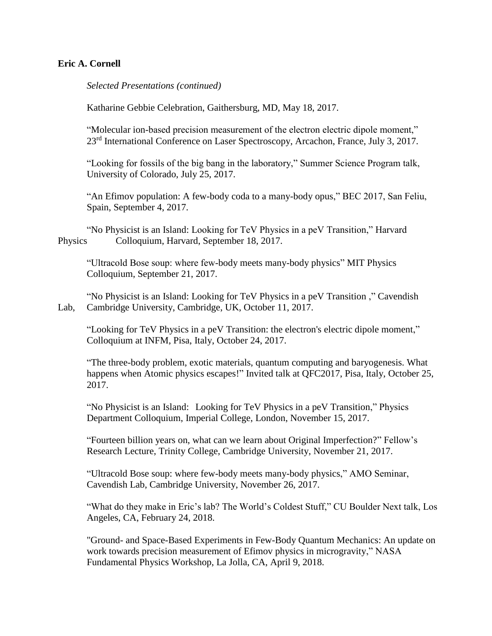*Selected Presentations (continued)*

Katharine Gebbie Celebration, Gaithersburg, MD, May 18, 2017.

"Molecular ion-based precision measurement of the electron electric dipole moment," 23<sup>rd</sup> International Conference on Laser Spectroscopy, Arcachon, France, July 3, 2017.

"Looking for fossils of the big bang in the laboratory," Summer Science Program talk, University of Colorado, July 25, 2017.

"An Efimov population: A few-body coda to a many-body opus," BEC 2017, San Feliu, Spain, September 4, 2017.

"No Physicist is an Island: Looking for TeV Physics in a peV Transition," Harvard Physics Colloquium, Harvard, September 18, 2017.

"Ultracold Bose soup: where few-body meets many-body physics" MIT Physics Colloquium, September 21, 2017.

"No Physicist is an Island: Looking for TeV Physics in a peV Transition ," Cavendish Lab, Cambridge University, Cambridge, UK, October 11, 2017.

"Looking for TeV Physics in a peV Transition: the electron's electric dipole moment," Colloquium at INFM, Pisa, Italy, October 24, 2017.

"The three-body problem, exotic materials, quantum computing and baryogenesis. What happens when Atomic physics escapes!" Invited talk at QFC2017, Pisa, Italy, October 25, 2017.

"No Physicist is an Island: Looking for TeV Physics in a peV Transition," Physics Department Colloquium, Imperial College, London, November 15, 2017.

"Fourteen billion years on, what can we learn about Original Imperfection?" Fellow's Research Lecture, Trinity College, Cambridge University, November 21, 2017.

"Ultracold Bose soup: where few-body meets many-body physics," AMO Seminar, Cavendish Lab, Cambridge University, November 26, 2017.

"What do they make in Eric's lab? The World's Coldest Stuff," CU Boulder Next talk, Los Angeles, CA, February 24, 2018.

"Ground- and Space-Based Experiments in Few-Body Quantum Mechanics: An update on work towards precision measurement of Efimov physics in microgravity," NASA Fundamental Physics Workshop, La Jolla, CA, April 9, 2018.